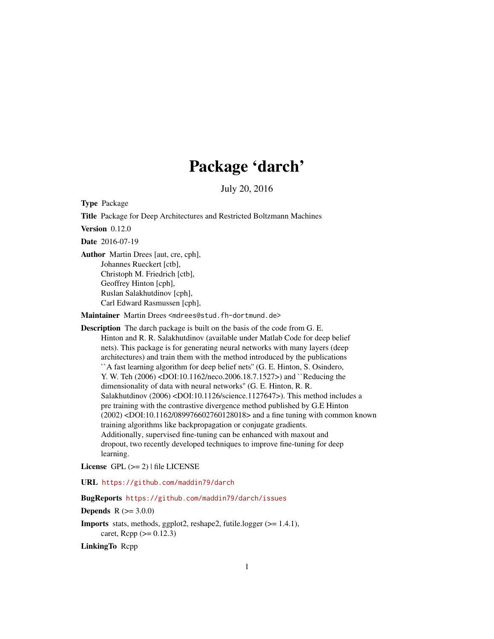# Package 'darch'

July 20, 2016

<span id="page-0-0"></span>Type Package

Title Package for Deep Architectures and Restricted Boltzmann Machines

Version 0.12.0

Date 2016-07-19

Author Martin Drees [aut, cre, cph], Johannes Rueckert [ctb], Christoph M. Friedrich [ctb], Geoffrey Hinton [cph], Ruslan Salakhutdinov [cph], Carl Edward Rasmussen [cph],

Maintainer Martin Drees <mdrees@stud.fh-dortmund.de>

Description The darch package is built on the basis of the code from G. E. Hinton and R. R. Salakhutdinov (available under Matlab Code for deep belief nets). This package is for generating neural networks with many layers (deep architectures) and train them with the method introduced by the publications ``A fast learning algorithm for deep belief nets'' (G. E. Hinton, S. Osindero, Y. W. Teh (2006) <DOI:10.1162/neco.2006.18.7.1527>) and ``Reducing the dimensionality of data with neural networks'' (G. E. Hinton, R. R. Salakhutdinov (2006) <DOI:10.1126/science.1127647>). This method includes a pre training with the contrastive divergence method published by G.E Hinton (2002) <DOI:10.1162/089976602760128018> and a fine tuning with common known training algorithms like backpropagation or conjugate gradients. Additionally, supervised fine-tuning can be enhanced with maxout and dropout, two recently developed techniques to improve fine-tuning for deep learning.

License GPL  $(>= 2)$  | file LICENSE

URL <https://github.com/maddin79/darch>

## BugReports <https://github.com/maddin79/darch/issues>

**Depends**  $R (= 3.0.0)$ 

Imports stats, methods, ggplot2, reshape2, futile.logger (>= 1.4.1), caret,  $Rcpp (> = 0.12.3)$ 

LinkingTo Rcpp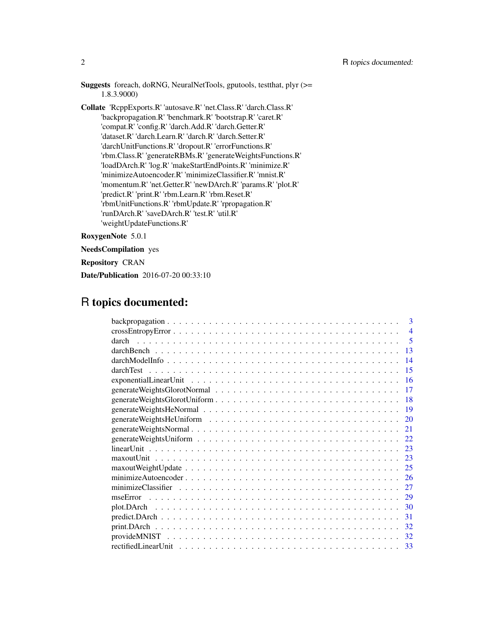| 1.8.3.9000                | Suggests foreach, doRNG, NeuralNetTools, gputools, test that, plyr (>=    |
|---------------------------|---------------------------------------------------------------------------|
|                           | <b>Collate</b> 'ReppExports.R' 'autosave.R' 'net.Class.R' 'darch.Class.R' |
|                           | "backpropagation.R' "benchmark.R' "bootstrap.R' 'caret.R'                 |
|                           | 'compat.R' 'config.R' 'darch.Add.R' 'darch.Getter.R'                      |
|                           | 'dataset.R' 'darch.Learn.R' 'darch.R' 'darch.Setter.R'                    |
|                           | 'darchUnitFunctions.R' 'dropout.R' 'errorFunctions.R'                     |
|                           | 'rbm.Class.R' 'generateRBMs.R' 'generateWeightsFunctions.R'               |
|                           | 'loadDArch.R' 'log.R' 'makeStartEndPoints.R' 'minimize.R'                 |
|                           | 'minimizeAutoencoder.R' 'minimizeClassifier.R' 'mnist.R'                  |
|                           | 'momentum.R' 'net.Getter.R' 'newDArch.R' 'params.R' 'plot.R'              |
|                           | 'predict.R' 'print.R' 'rbm.Learn.R' 'rbm.Reset.R'                         |
|                           | 'rbmUnitFunctions.R' 'rbmUpdate.R' 'rpropagation.R'                       |
|                           | 'runDArch.R' 'saveDArch.R' 'test.R' 'util.R'                              |
| 'weightUpdateFunctions.R' |                                                                           |
|                           |                                                                           |

RoxygenNote 5.0.1

NeedsCompilation yes

Repository CRAN

Date/Publication 2016-07-20 00:33:10

## R topics documented:

| $\mathbf{3}$                                                                                                  |
|---------------------------------------------------------------------------------------------------------------|
| $\boldsymbol{\Delta}$                                                                                         |
| 5                                                                                                             |
| 13                                                                                                            |
| 14                                                                                                            |
| darchTest<br>-15                                                                                              |
| exponential Linear Unit $\ldots \ldots \ldots \ldots \ldots \ldots \ldots \ldots \ldots \ldots \ldots \ldots$ |
| 17                                                                                                            |
|                                                                                                               |
|                                                                                                               |
| 20                                                                                                            |
| 21                                                                                                            |
|                                                                                                               |
|                                                                                                               |
| 23                                                                                                            |
| 25                                                                                                            |
|                                                                                                               |
| 27                                                                                                            |
| 29                                                                                                            |
| 30                                                                                                            |
| 31                                                                                                            |
| 32                                                                                                            |
| 32                                                                                                            |
| -33                                                                                                           |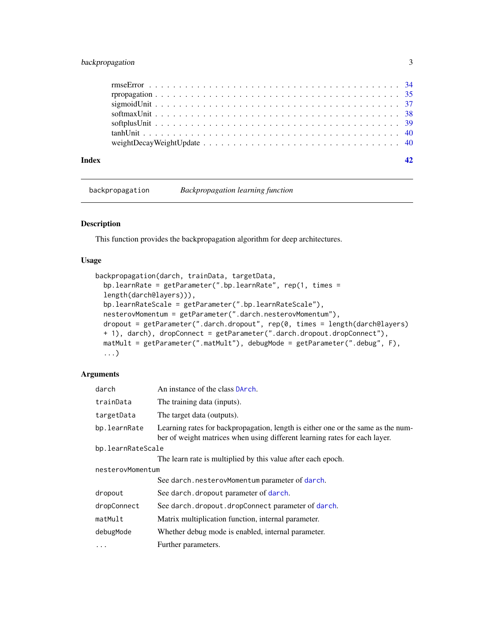## <span id="page-2-0"></span>backpropagation 3

| Index |  |
|-------|--|
|       |  |
|       |  |
|       |  |
|       |  |
|       |  |
|       |  |
|       |  |

<span id="page-2-1"></span>backpropagation *Backpropagation learning function*

## Description

This function provides the backpropagation algorithm for deep architectures.

#### Usage

```
backpropagation(darch, trainData, targetData,
 bp.learnRate = getParameter(".bp.learnRate", rep(1, times =
 length(darch@layers))),
 bp.learnRateScale = getParameter(".bp.learnRateScale"),
 nesterovMomentum = getParameter(".darch.nesterovMomentum"),
 dropout = getParameter(".darch.dropout", rep(0, times = length(darch@layers)
 + 1), darch), dropConnect = getParameter(".darch.dropout.dropConnect"),
 matMult = getParameter(".matMult"), debugMode = getParameter(".debug", F),
  ...)
```
#### Arguments

| darch             | An instance of the class DArch.                                                                                                                                |  |
|-------------------|----------------------------------------------------------------------------------------------------------------------------------------------------------------|--|
| trainData         | The training data (inputs).                                                                                                                                    |  |
| targetData        | The target data (outputs).                                                                                                                                     |  |
| bp.learnRate      | Learning rates for backpropagation, length is either one or the same as the num-<br>ber of weight matrices when using different learning rates for each layer. |  |
| bp.learnRateScale |                                                                                                                                                                |  |
|                   | The learn rate is multiplied by this value after each epoch.                                                                                                   |  |
| nesterovMomentum  |                                                                                                                                                                |  |
|                   | See darch.nesterovMomentum parameter of darch.                                                                                                                 |  |
| dropout           | See darch. dropout parameter of darch.                                                                                                                         |  |
| dropConnect       | See darch.dropout.dropConnect parameter of darch.                                                                                                              |  |
| matMult           | Matrix multiplication function, internal parameter.                                                                                                            |  |
| debugMode         | Whether debug mode is enabled, internal parameter.                                                                                                             |  |
| .                 | Further parameters.                                                                                                                                            |  |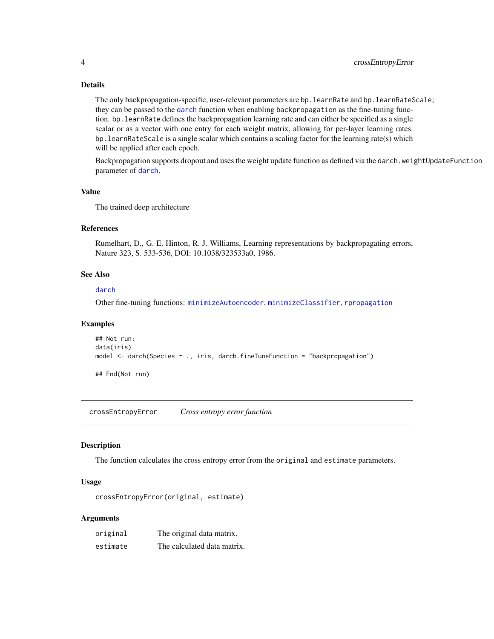## Details

The only backpropagation-specific, user-relevant parameters are bp. learnRate and bp. learnRateScale; they can be passed to the [darch](#page-4-1) function when enabling backpropagation as the fine-tuning function. bp.learnRate defines the backpropagation learning rate and can either be specified as a single scalar or as a vector with one entry for each weight matrix, allowing for per-layer learning rates. bp. learnRateScale is a single scalar which contains a scaling factor for the learning rate(s) which will be applied after each epoch.

Backpropagation supports dropout and uses the weight update function as defined via the darch.weightUpdateFunction parameter of [darch](#page-4-1).

## Value

The trained deep architecture

## References

Rumelhart, D., G. E. Hinton, R. J. Williams, Learning representations by backpropagating errors, Nature 323, S. 533-536, DOI: 10.1038/323533a0, 1986.

#### See Also

#### [darch](#page-4-1)

Other fine-tuning functions: [minimizeAutoencoder](#page-25-1), [minimizeClassifier](#page-26-1), [rpropagation](#page-34-1)

## Examples

```
## Not run:
data(iris)
model <- darch(Species ~ ., iris, darch.fineTuneFunction = "backpropagation")
```
## End(Not run)

<span id="page-3-1"></span>crossEntropyError *Cross entropy error function*

#### Description

The function calculates the cross entropy error from the original and estimate parameters.

#### Usage

```
crossEntropyError(original, estimate)
```
## Arguments

| original | The original data matrix.   |
|----------|-----------------------------|
| estimate | The calculated data matrix. |

<span id="page-3-0"></span>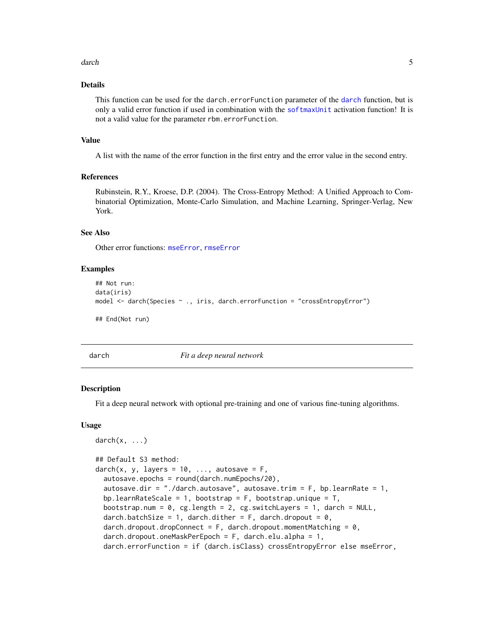#### <span id="page-4-0"></span>darch 5 and 5 and 5 and 5 and 5 and 5 and 5 and 5 and 5 and 5 and 5 and 5 and 5 and 5 and 5 and 5 and 5 and 5

#### Details

This function can be used for the [darch](#page-4-1).errorFunction parameter of the darch function, but is only a valid error function if used in combination with the [softmaxUnit](#page-37-1) activation function! It is not a valid value for the parameter rbm.errorFunction.

#### Value

A list with the name of the error function in the first entry and the error value in the second entry.

## References

Rubinstein, R.Y., Kroese, D.P. (2004). The Cross-Entropy Method: A Unified Approach to Combinatorial Optimization, Monte-Carlo Simulation, and Machine Learning, Springer-Verlag, New York.

## See Also

Other error functions: [mseError](#page-28-1), [rmseError](#page-33-1)

#### Examples

```
## Not run:
data(iris)
model <- darch(Species ~ ., iris, darch.errorFunction = "crossEntropyError")
## End(Not run)
```
<span id="page-4-1"></span>

darch *Fit a deep neural network*

#### <span id="page-4-2"></span>Description

Fit a deep neural network with optional pre-training and one of various fine-tuning algorithms.

#### Usage

```
darch(x, \ldots)## Default S3 method:
darch(x, y, layers = 10, ..., autosave = F,autosave.epochs = round(darch.numEpochs/20),
  autosave.dir = "./darch.autosave", autosave.trim = F, bp.learnRate = 1,
  bp.learnRateScale = 1, bootstrap = F, bootstrap.unique = T,
  bootstrap.num = 0, cg.length = 2, cg.switchLayers = 1, darch = NULL,
  darch.batchSize = 1, darch.dither = F, darch.dropout = 0,
  darch.dropout.dropConnect = F, darch.dropout.momentMatching = 0,
  darch.dropout.oneMaskPerEpoch = F, darch.elu.alpha = 1,
  darch.errorFunction = if (darch.isClass) crossEntropyError else mseError,
```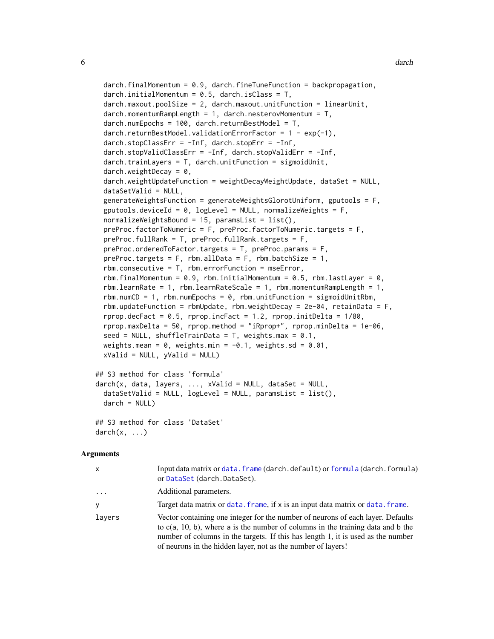```
darch.finalMomentum = 0.9, darch.fineTuneFunction = backpropagation,
 darch.initialMomentum = 0.5, darch.isClass = T,
 darch.maxout.poolSize = 2, darch.maxout.unitFunction = linearUnit,
 darch.momentumRamplength = 1, darch.nesterovMomentum = T,
 darch.numEpochs = 100, darch.returnBestModel = T,
 darch.returnBestModel.validationErrorFactor = 1 - exp(-1),
 darch.stopClassErr = -Inf, darch.stopErr = -Inf,
 darch.stopValidClassErr = -Inf, darch.stopValidErr = -Inf,
 darch.trainLayers = T, darch.unitFunction = sigmoidUnit,
 darch.weightDecay = 0,
 darch.weightUpdateFunction = weightDecayWeightUpdate, dataSet = NULL,
 dataSetValid = NULL,
 generateWeightsFunction = generateWeightsGlorotUniform, gputools = F,
 gputools.deviceId = 0, logLevel = NULL, normalizeWeights = F,
 normalizeWeights Bound = 15, paramsList = list(),preProc.factorToNumeric = F, preProc.factorToNumeric.targets = F,
 preProc.fullRank = T, preProc.fullRank.targets = F,
 preProc.orderedToFactor.targets = T, preProc.params = F,
 preProc.targets = F, rbm.allData = F, rbm.batchSize = 1,
 rbm.consecutive = T, rbm.errorFunction = mseError,
 rbm.finalMomentum = 0.9, rbm.initialMomentum = 0.5, rbm.lastLayer = 0,
 rbm. learnRate = 1, rbm. learnRateScale = 1, rbm.momentumRampleength = 1,
 rbm.numCD = 1, rbm.numEpochs = 0, rbm.unitFunction = sigmoidUnitRbm,
 rbm.updateFunction = rbmUpdate, rbm.weightDecay = 2e-04, retainData = F,
 rprop.decFact = 0.5, rprop.incFact = 1.2, rprop.initDelta = 1/80,
 rprop.maxDelta = 50, rprop.method = "iRprop+", rprop.minDelta = 1e-06,
 seed = NULL, shuffleTrainData = T, weights.max = 0.1,
 weights.mean = 0, weights.min = -0.1, weights.sd = 0.01,
 xValid = NULL, yValid = NULL)## S3 method for class 'formula'
```

```
darch(x, data, layers, ..., xValid = NULL, dataSet = NULL,dataSetValid = NULL, logLevel = NULL, paramsList = list(),darch = NULL
```

```
## S3 method for class 'DataSet'
darch(x, \ldots)
```
#### Arguments

| X         | Input data matrix or data. frame (darch. default) or formula (darch. formula)<br>or DataSet (darch. DataSet).                                                                                                                                                                                                             |
|-----------|---------------------------------------------------------------------------------------------------------------------------------------------------------------------------------------------------------------------------------------------------------------------------------------------------------------------------|
| $\ddotsc$ | Additional parameters.                                                                                                                                                                                                                                                                                                    |
| y         | Target data matrix or data. frame, if x is an input data matrix or data. frame.                                                                                                                                                                                                                                           |
| lavers    | Vector containing one integer for the number of neurons of each layer. Defaults<br>to $c(a, 10, b)$ , where a is the number of columns in the training data and b the<br>number of columns in the targets. If this has length 1, it is used as the number<br>of neurons in the hidden layer, not as the number of layers! |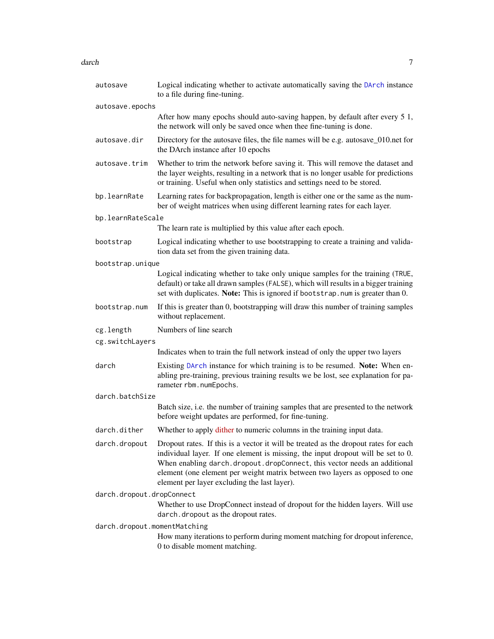#### <span id="page-6-0"></span>darch 7 ann an t-Iomraid ann an t-Iomraid ann an t-Iomraid ann an t-Iomraid ann an t-Iomraid ann an 17

| autosave                     | Logical indicating whether to activate automatically saving the DArch instance<br>to a file during fine-tuning.                                                                                                                                                                                                                                                                    |  |
|------------------------------|------------------------------------------------------------------------------------------------------------------------------------------------------------------------------------------------------------------------------------------------------------------------------------------------------------------------------------------------------------------------------------|--|
| autosave.epochs              |                                                                                                                                                                                                                                                                                                                                                                                    |  |
|                              | After how many epochs should auto-saving happen, by default after every 5 1,<br>the network will only be saved once when thee fine-tuning is done.                                                                                                                                                                                                                                 |  |
| autosave.dir                 | Directory for the autosave files, the file names will be e.g. autosave_010.net for<br>the DArch instance after 10 epochs                                                                                                                                                                                                                                                           |  |
| autosave.trim                | Whether to trim the network before saving it. This will remove the dataset and<br>the layer weights, resulting in a network that is no longer usable for predictions<br>or training. Useful when only statistics and settings need to be stored.                                                                                                                                   |  |
| bp.learnRate                 | Learning rates for backpropagation, length is either one or the same as the num-<br>ber of weight matrices when using different learning rates for each layer.                                                                                                                                                                                                                     |  |
| bp.learnRateScale            |                                                                                                                                                                                                                                                                                                                                                                                    |  |
|                              | The learn rate is multiplied by this value after each epoch.                                                                                                                                                                                                                                                                                                                       |  |
| bootstrap                    | Logical indicating whether to use bootstrapping to create a training and valida-<br>tion data set from the given training data.                                                                                                                                                                                                                                                    |  |
| bootstrap.unique             |                                                                                                                                                                                                                                                                                                                                                                                    |  |
|                              | Logical indicating whether to take only unique samples for the training (TRUE,<br>default) or take all drawn samples (FALSE), which will results in a bigger training<br>set with duplicates. Note: This is ignored if bootstrap.num is greater than 0.                                                                                                                            |  |
| bootstrap.num                | If this is greater than 0, bootstrapping will draw this number of training samples<br>without replacement.                                                                                                                                                                                                                                                                         |  |
| cg.length                    | Numbers of line search                                                                                                                                                                                                                                                                                                                                                             |  |
| cg.switchLayers              |                                                                                                                                                                                                                                                                                                                                                                                    |  |
|                              | Indicates when to train the full network instead of only the upper two layers                                                                                                                                                                                                                                                                                                      |  |
| darch                        | Existing DArch instance for which training is to be resumed. Note: When en-<br>abling pre-training, previous training results we be lost, see explanation for pa-<br>rameter rbm.numEpochs.                                                                                                                                                                                        |  |
| darch.batchSize              |                                                                                                                                                                                                                                                                                                                                                                                    |  |
|                              | Batch size, i.e. the number of training samples that are presented to the network<br>before weight updates are performed, for fine-tuning.                                                                                                                                                                                                                                         |  |
| darch.dither                 | Whether to apply dither to numeric columns in the training input data.                                                                                                                                                                                                                                                                                                             |  |
| darch.dropout                | Dropout rates. If this is a vector it will be treated as the dropout rates for each<br>individual layer. If one element is missing, the input dropout will be set to 0.<br>When enabling darch.dropout.dropConnect, this vector needs an additional<br>element (one element per weight matrix between two layers as opposed to one<br>element per layer excluding the last layer). |  |
| darch.dropout.dropConnect    |                                                                                                                                                                                                                                                                                                                                                                                    |  |
|                              | Whether to use DropConnect instead of dropout for the hidden layers. Will use<br>darch.dropout as the dropout rates.                                                                                                                                                                                                                                                               |  |
| darch.dropout.momentMatching |                                                                                                                                                                                                                                                                                                                                                                                    |  |
|                              | How many iterations to perform during moment matching for dropout inference,<br>0 to disable moment matching.                                                                                                                                                                                                                                                                      |  |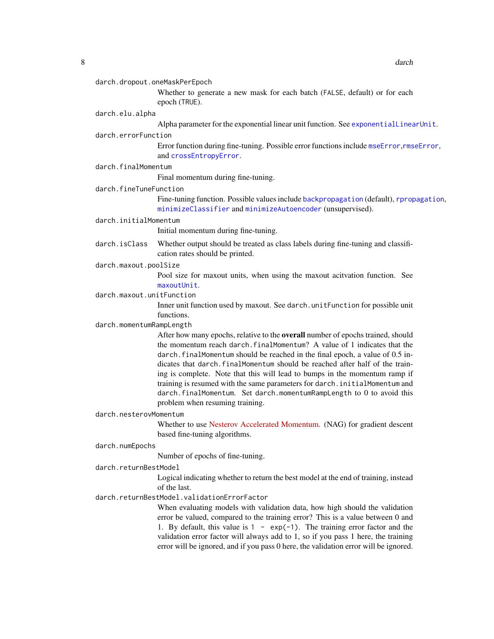<span id="page-7-0"></span>

Whether to generate a new mask for each batch (FALSE, default) or for each epoch (TRUE).

#### darch.elu.alpha

Alpha parameter for the exponential linear unit function. See [exponentialLinearUnit](#page-15-1).

#### darch.errorFunction

Error function during fine-tuning. Possible error functions include [mseError](#page-28-1),[rmseError](#page-33-1), and [crossEntropyError](#page-3-1).

darch.finalMomentum

Final momentum during fine-tuning.

#### darch.fineTuneFunction

Fine-tuning function. Possible values include [backpropagation](#page-2-1) (default), [rpropagation](#page-34-1), [minimizeClassifier](#page-26-1) and [minimizeAutoencoder](#page-25-1) (unsupervised).

#### darch.initialMomentum

Initial momentum during fine-tuning.

darch.isClass Whether output should be treated as class labels during fine-tuning and classification rates should be printed.

## darch.maxout.poolSize

Pool size for maxout units, when using the maxout acitvation function. See [maxoutUnit](#page-22-1).

#### darch.maxout.unitFunction

Inner unit function used by maxout. See darch.unitFunction for possible unit functions.

#### darch.momentumRampLength

After how many epochs, relative to the overall number of epochs trained, should the momentum reach darch.finalMomentum? A value of 1 indicates that the darch.finalMomentum should be reached in the final epoch, a value of 0.5 indicates that darch.finalMomentum should be reached after half of the training is complete. Note that this will lead to bumps in the momentum ramp if training is resumed with the same parameters for darch.initialMomentum and darch.finalMomentum. Set darch.momentumRampLength to 0 to avoid this problem when resuming training.

## darch.nesterovMomentum

Whether to use [Nesterov Accelerated Momentum.](https://cs231n.github.io/neural-networks-3/#sgd) (NAG) for gradient descent based fine-tuning algorithms.

#### darch.numEpochs

Number of epochs of fine-tuning.

## darch.returnBestModel

Logical indicating whether to return the best model at the end of training, instead of the last.

## darch.returnBestModel.validationErrorFactor

When evaluating models with validation data, how high should the validation error be valued, compared to the training error? This is a value between 0 and 1. By default, this value is  $1 - \exp(-1)$ . The training error factor and the validation error factor will always add to 1, so if you pass 1 here, the training error will be ignored, and if you pass 0 here, the validation error will be ignored.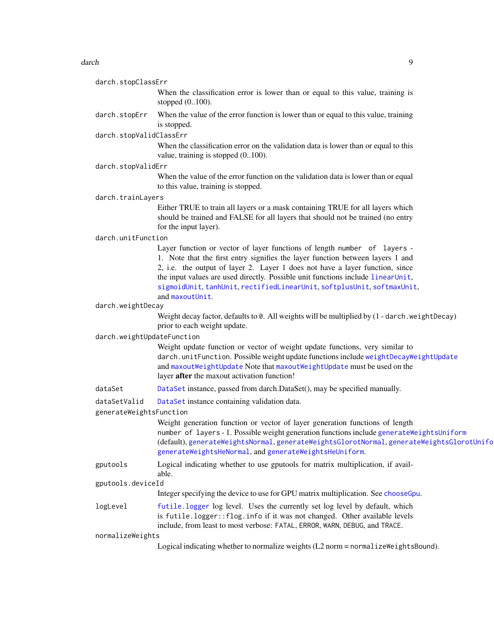#### <span id="page-8-0"></span>darch **9** and the state of the state of the state of the state of the state of the state of the state of the state of the state of the state of the state of the state of the state of the state of the state of the state of

| darch.stopClassErr         | When the classification error is lower than or equal to this value, training is<br>stopped $(0100)$ .                                                                                                                                                                                                                                                                                                   |
|----------------------------|---------------------------------------------------------------------------------------------------------------------------------------------------------------------------------------------------------------------------------------------------------------------------------------------------------------------------------------------------------------------------------------------------------|
| darch.stopErr              | When the value of the error function is lower than or equal to this value, training<br>is stopped.                                                                                                                                                                                                                                                                                                      |
| darch.stopValidClassErr    |                                                                                                                                                                                                                                                                                                                                                                                                         |
|                            | When the classification error on the validation data is lower than or equal to this<br>value, training is stopped $(0100)$ .                                                                                                                                                                                                                                                                            |
| darch.stopValidErr         |                                                                                                                                                                                                                                                                                                                                                                                                         |
|                            | When the value of the error function on the validation data is lower than or equal<br>to this value, training is stopped.                                                                                                                                                                                                                                                                               |
| darch.trainLayers          |                                                                                                                                                                                                                                                                                                                                                                                                         |
|                            | Either TRUE to train all layers or a mask containing TRUE for all layers which<br>should be trained and FALSE for all layers that should not be trained (no entry<br>for the input layer).                                                                                                                                                                                                              |
| darch.unitFunction         |                                                                                                                                                                                                                                                                                                                                                                                                         |
|                            | Layer function or vector of layer functions of length number of layers -<br>1. Note that the first entry signifies the layer function between layers 1 and<br>2, i.e. the output of layer 2. Layer 1 does not have a layer function, since<br>the input values are used directly. Possible unit functions include linearUnit,<br>sigmoidUnit, tanhUnit, rectifiedLinearUnit, softplusUnit, softmaxUnit, |
|                            | and maxoutUnit.                                                                                                                                                                                                                                                                                                                                                                                         |
| darch.weightDecay          | Weight decay factor, defaults to 0. All weights will be multiplied by (1 - darch. weight Decay)                                                                                                                                                                                                                                                                                                         |
|                            | prior to each weight update.                                                                                                                                                                                                                                                                                                                                                                            |
| darch.weightUpdateFunction |                                                                                                                                                                                                                                                                                                                                                                                                         |
|                            | Weight update function or vector of weight update functions, very similar to<br>darch.unitFunction. Possible weight update functions include weightDecayWeightUpdate<br>and maxoutWeightUpdate Note that maxoutWeightUpdate must be used on the<br>layer after the maxout activation function!                                                                                                          |
| dataSet                    | DataSet instance, passed from darch.DataSet(), may be specified manually.                                                                                                                                                                                                                                                                                                                               |
| dataSetValid               | DataSet instance containing validation data.                                                                                                                                                                                                                                                                                                                                                            |
| generateWeightsFunction    |                                                                                                                                                                                                                                                                                                                                                                                                         |
|                            | Weight generation function or vector of layer generation functions of length<br>number of layers - 1. Possible weight generation functions include generate Weights Uniform<br>(default), generateWeightsNormal, generateWeightsGlorotNormal, generateWeightsGlorotUnifo<br>generateWeightsHeNormal, and generateWeightsHeUniform.                                                                      |
| gputools                   | Logical indicating whether to use gputools for matrix multiplication, if avail-<br>able.                                                                                                                                                                                                                                                                                                                |
| gputools.deviceId          |                                                                                                                                                                                                                                                                                                                                                                                                         |
|                            | Integer specifying the device to use for GPU matrix multiplication. See chooseGpu.                                                                                                                                                                                                                                                                                                                      |
| logLevel                   | futile.logger log level. Uses the currently set log level by default, which<br>is futile.logger:: flog.info if it was not changed. Other available levels<br>include, from least to most verbose: FATAL, ERROR, WARN, DEBUG, and TRACE.                                                                                                                                                                 |
| normalizeWeights           |                                                                                                                                                                                                                                                                                                                                                                                                         |
|                            | Logical indicating whether to normalize weights (L2 norm = normalize Weights Bound).                                                                                                                                                                                                                                                                                                                    |
|                            |                                                                                                                                                                                                                                                                                                                                                                                                         |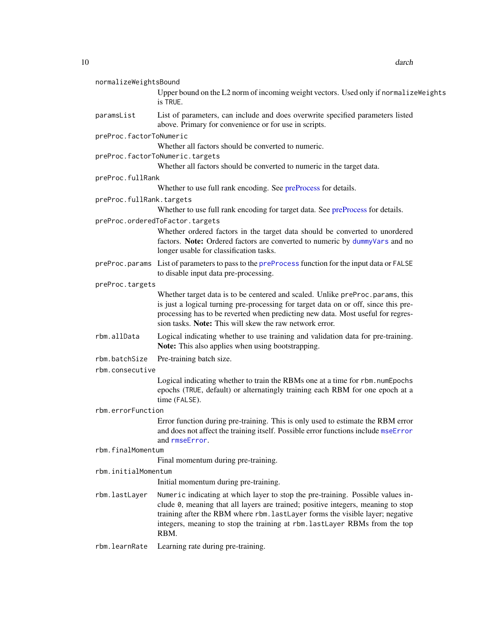<span id="page-9-0"></span>10 darch days are a set of the set of the set of the set of the set of the set of the set of the set of the set of the set of the set of the set of the set of the set of the set of the set of the set of the set of the set

| normalizeWeightsBound    |                                                                                                                                                                                                                                                                                                                                            |  |
|--------------------------|--------------------------------------------------------------------------------------------------------------------------------------------------------------------------------------------------------------------------------------------------------------------------------------------------------------------------------------------|--|
|                          | Upper bound on the L2 norm of incoming weight vectors. Used only if normalize Weights<br>is TRUE.                                                                                                                                                                                                                                          |  |
| paramsList               | List of parameters, can include and does overwrite specified parameters listed<br>above. Primary for convenience or for use in scripts.                                                                                                                                                                                                    |  |
| preProc.factorToNumeric  |                                                                                                                                                                                                                                                                                                                                            |  |
|                          | Whether all factors should be converted to numeric.                                                                                                                                                                                                                                                                                        |  |
|                          | preProc.factorToNumeric.targets                                                                                                                                                                                                                                                                                                            |  |
|                          | Whether all factors should be converted to numeric in the target data.                                                                                                                                                                                                                                                                     |  |
| preProc.fullRank         |                                                                                                                                                                                                                                                                                                                                            |  |
|                          | Whether to use full rank encoding. See preProcess for details.                                                                                                                                                                                                                                                                             |  |
| preProc.fullRank.targets |                                                                                                                                                                                                                                                                                                                                            |  |
|                          | Whether to use full rank encoding for target data. See preProcess for details.                                                                                                                                                                                                                                                             |  |
|                          | preProc.orderedToFactor.targets                                                                                                                                                                                                                                                                                                            |  |
|                          | Whether ordered factors in the target data should be converted to unordered<br>factors. Note: Ordered factors are converted to numeric by dummyVars and no<br>longer usable for classification tasks.                                                                                                                                      |  |
|                          | preProc.params List of parameters to pass to the preProcess function for the input data or FALSE<br>to disable input data pre-processing.                                                                                                                                                                                                  |  |
| preProc.targets          |                                                                                                                                                                                                                                                                                                                                            |  |
|                          | Whether target data is to be centered and scaled. Unlike preProc.params, this<br>is just a logical turning pre-processing for target data on or off, since this pre-<br>processing has to be reverted when predicting new data. Most useful for regres-<br>sion tasks. Note: This will skew the raw network error.                         |  |
| rbm.allData              | Logical indicating whether to use training and validation data for pre-training.<br>Note: This also applies when using bootstrapping.                                                                                                                                                                                                      |  |
| rbm.batchSize            | Pre-training batch size.                                                                                                                                                                                                                                                                                                                   |  |
| rbm.consecutive          |                                                                                                                                                                                                                                                                                                                                            |  |
|                          | Logical indicating whether to train the RBMs one at a time for rbm. numEpochs<br>epochs (TRUE, default) or alternatingly training each RBM for one epoch at a<br>time (FALSE).                                                                                                                                                             |  |
| rbm.errorFunction        |                                                                                                                                                                                                                                                                                                                                            |  |
|                          | Error function during pre-training. This is only used to estimate the RBM error<br>and does not affect the training itself. Possible error functions include mseError<br>and rmseError.                                                                                                                                                    |  |
| rbm.finalMomentum        |                                                                                                                                                                                                                                                                                                                                            |  |
|                          | Final momentum during pre-training.                                                                                                                                                                                                                                                                                                        |  |
| rbm.initialMomentum      |                                                                                                                                                                                                                                                                                                                                            |  |
|                          | Initial momentum during pre-training.                                                                                                                                                                                                                                                                                                      |  |
| rbm.lastLayer            | Numeric indicating at which layer to stop the pre-training. Possible values in-<br>clude 0, meaning that all layers are trained; positive integers, meaning to stop<br>training after the RBM where rbm. lastLayer forms the visible layer; negative<br>integers, meaning to stop the training at rbm. lastLayer RBMs from the top<br>RBM. |  |
| rbm.learnRate            | Learning rate during pre-training.                                                                                                                                                                                                                                                                                                         |  |
|                          |                                                                                                                                                                                                                                                                                                                                            |  |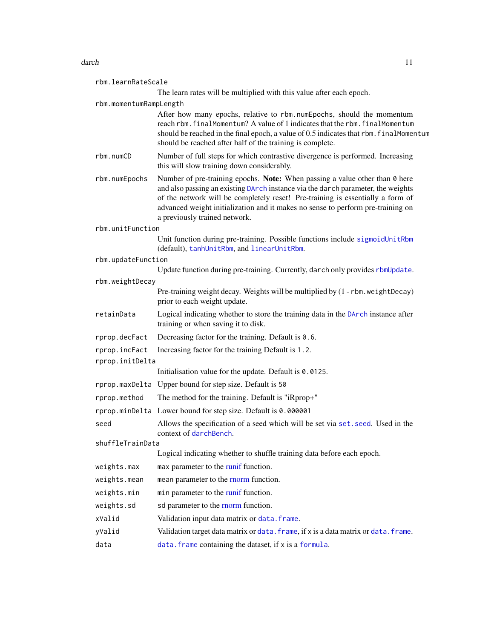#### <span id="page-10-0"></span>darch the contract of the contract of the contract of the contract of the contract of the contract of the contract of the contract of the contract of the contract of the contract of the contract of the contract of the cont

| rbm.learnRateScale     |                                                                                                                                                                                                                                                                                                                                                                       |  |
|------------------------|-----------------------------------------------------------------------------------------------------------------------------------------------------------------------------------------------------------------------------------------------------------------------------------------------------------------------------------------------------------------------|--|
|                        | The learn rates will be multiplied with this value after each epoch.                                                                                                                                                                                                                                                                                                  |  |
| rbm.momentumRampLength |                                                                                                                                                                                                                                                                                                                                                                       |  |
|                        | After how many epochs, relative to rbm.numEpochs, should the momentum<br>reach rbm. finalMomentum? A value of 1 indicates that the rbm. finalMomentum<br>should be reached in the final epoch, a value of 0.5 indicates that rbm. finalMomentum<br>should be reached after half of the training is complete.                                                          |  |
| rbm.numCD              | Number of full steps for which contrastive divergence is performed. Increasing<br>this will slow training down considerably.                                                                                                                                                                                                                                          |  |
| rbm.numEpochs          | Number of pre-training epochs. Note: When passing a value other than 0 here<br>and also passing an existing DArch instance via the darch parameter, the weights<br>of the network will be completely reset! Pre-training is essentially a form of<br>advanced weight initialization and it makes no sense to perform pre-training on<br>a previously trained network. |  |
| rbm.unitFunction       |                                                                                                                                                                                                                                                                                                                                                                       |  |
|                        | Unit function during pre-training. Possible functions include sigmoidUnitRbm<br>(default), tanhUnitRbm, and linearUnitRbm.                                                                                                                                                                                                                                            |  |
| rbm.updateFunction     |                                                                                                                                                                                                                                                                                                                                                                       |  |
|                        | Update function during pre-training. Currently, darch only provides rbmUpdate.                                                                                                                                                                                                                                                                                        |  |
| rbm.weightDecay        | Pre-training weight decay. Weights will be multiplied by (1 - rbm. weight Decay)                                                                                                                                                                                                                                                                                      |  |
|                        | prior to each weight update.                                                                                                                                                                                                                                                                                                                                          |  |
| retainData             | Logical indicating whether to store the training data in the DArch instance after<br>training or when saving it to disk.                                                                                                                                                                                                                                              |  |
| rprop.decFact          | Decreasing factor for the training. Default is 0.6.                                                                                                                                                                                                                                                                                                                   |  |
| rprop.incFact          | Increasing factor for the training Default is 1.2.                                                                                                                                                                                                                                                                                                                    |  |
| rprop.initDelta        |                                                                                                                                                                                                                                                                                                                                                                       |  |
|                        | Initialisation value for the update. Default is 0.0125.                                                                                                                                                                                                                                                                                                               |  |
|                        | rprop.maxDelta Upper bound for step size. Default is 50                                                                                                                                                                                                                                                                                                               |  |
| rprop.method           | The method for the training. Default is "iRprop+"                                                                                                                                                                                                                                                                                                                     |  |
|                        | rprop.minDelta Lower bound for step size. Default is 0.000001                                                                                                                                                                                                                                                                                                         |  |
| seed                   | Allows the specification of a seed which will be set via set. seed. Used in the<br>context of darchBench.                                                                                                                                                                                                                                                             |  |
| shuffleTrainData       |                                                                                                                                                                                                                                                                                                                                                                       |  |
|                        | Logical indicating whether to shuffle training data before each epoch.                                                                                                                                                                                                                                                                                                |  |
| weights.max            | max parameter to the runif function.                                                                                                                                                                                                                                                                                                                                  |  |
| weights.mean           | mean parameter to the rnorm function.                                                                                                                                                                                                                                                                                                                                 |  |
| weights.min            | min parameter to the runif function.                                                                                                                                                                                                                                                                                                                                  |  |
| weights.sd             | sd parameter to the rnorm function.                                                                                                                                                                                                                                                                                                                                   |  |
| xValid                 | Validation input data matrix or data. frame.                                                                                                                                                                                                                                                                                                                          |  |
| yValid                 | Validation target data matrix or data. frame, if x is a data matrix or data. frame.                                                                                                                                                                                                                                                                                   |  |
| data                   | data. frame containing the dataset, if x is a formula.                                                                                                                                                                                                                                                                                                                |  |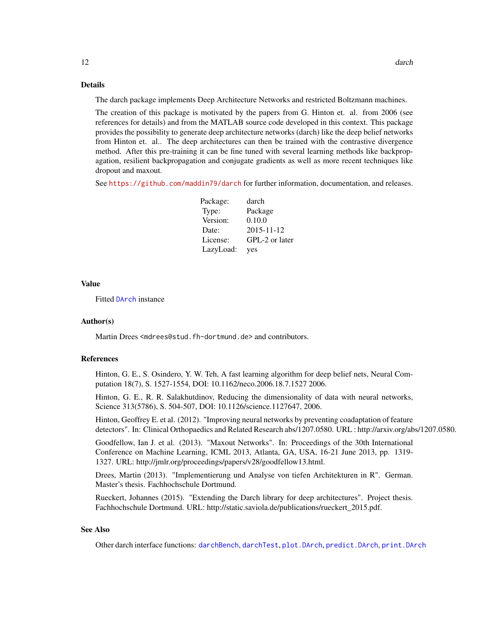## Details

The darch package implements Deep Architecture Networks and restricted Boltzmann machines.

The creation of this package is motivated by the papers from G. Hinton et. al. from 2006 (see references for details) and from the MATLAB source code developed in this context. This package provides the possibility to generate deep architecture networks (darch) like the deep belief networks from Hinton et. al.. The deep architectures can then be trained with the contrastive divergence method. After this pre-training it can be fine tuned with several learning methods like backpropagation, resilient backpropagation and conjugate gradients as well as more recent techniques like dropout and maxout.

See <https://github.com/maddin79/darch> for further information, documentation, and releases.

| Package:  | darch            |
|-----------|------------------|
| Type:     | Package          |
| Version:  | 0.10.0           |
| Date:     | $2015 - 11 - 12$ |
| License:  | GPL-2 or later   |
| LazyLoad: | yes              |

## Value

Fitted [DArch](#page-0-0) instance

#### Author(s)

Martin Drees <mdrees@stud.fh-dortmund.de> and contributors.

## References

Hinton, G. E., S. Osindero, Y. W. Teh, A fast learning algorithm for deep belief nets, Neural Computation 18(7), S. 1527-1554, DOI: 10.1162/neco.2006.18.7.1527 2006.

Hinton, G. E., R. R. Salakhutdinov, Reducing the dimensionality of data with neural networks, Science 313(5786), S. 504-507, DOI: 10.1126/science.1127647, 2006.

Hinton, Geoffrey E. et al. (2012). "Improving neural networks by preventing coadaptation of feature detectors". In: Clinical Orthopaedics and Related Research abs/1207.0580. URL : http://arxiv.org/abs/1207.0580.

Goodfellow, Ian J. et al. (2013). "Maxout Networks". In: Proceedings of the 30th International Conference on Machine Learning, ICML 2013, Atlanta, GA, USA, 16-21 June 2013, pp. 1319- 1327. URL: http://jmlr.org/proceedings/papers/v28/goodfellow13.html.

Drees, Martin (2013). "Implementierung und Analyse von tiefen Architekturen in R". German. Master's thesis. Fachhochschule Dortmund.

Rueckert, Johannes (2015). "Extending the Darch library for deep architectures". Project thesis. Fachhochschule Dortmund. URL: http://static.saviola.de/publications/rueckert\_2015.pdf.

#### See Also

Other darch interface functions: [darchBench](#page-12-1), [darchTest](#page-14-1), [plot.DArch](#page-29-1), [predict.DArch](#page-30-1), [print.DArch](#page-31-1)

<span id="page-11-0"></span>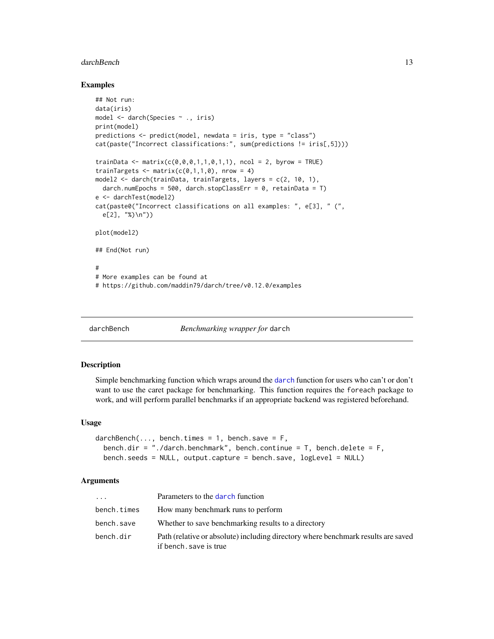#### <span id="page-12-0"></span>darchBench 13

#### Examples

```
## Not run:
data(iris)
model <- darch(Species ~ ., iris)
print(model)
predictions <- predict(model, newdata = iris, type = "class")
cat(paste("Incorrect classifications:", sum(predictions != iris[,5])))
trainData <- matrix(c(0,0,0,1,1,0,1,1), ncol = 2, byrow = TRUE)
trainTargets \leq matrix(c(0,1,1,0), nrow = 4)
model2 <- darch(trainData, trainTargets, layers = c(2, 10, 1),
  darch.numEpochs = 500, darch.stopClassErr = 0, retainData = T)
e <- darchTest(model2)
cat(paste0("Incorrect classifications on all examples: ", e[3], " (",
  e[2], "%)\n"))
plot(model2)
## End(Not run)
#
# More examples can be found at
# https://github.com/maddin79/darch/tree/v0.12.0/examples
```
<span id="page-12-1"></span>

darchBench *Benchmarking wrapper for* darch

## Description

Simple benchmarking function which wraps around the [darch](#page-4-1) function for users who can't or don't want to use the caret package for benchmarking. This function requires the foreach package to work, and will perform parallel benchmarks if an appropriate backend was registered beforehand.

#### Usage

```
darchBench(..., bench.times = 1, bench.save = F,bench.dir = "./darch.benchmark", bench.continue = T, bench.delete = F,
 bench.seeds = NULL, output.capture = bench.save, logLevel = NULL)
```
#### Arguments

| .           | Parameters to the darch function                                                                            |
|-------------|-------------------------------------------------------------------------------------------------------------|
| bench.times | How many benchmark runs to perform                                                                          |
| bench.save  | Whether to save benchmarking results to a directory                                                         |
| bench.dir   | Path (relative or absolute) including directory where benchmark results are saved<br>if bench, save is true |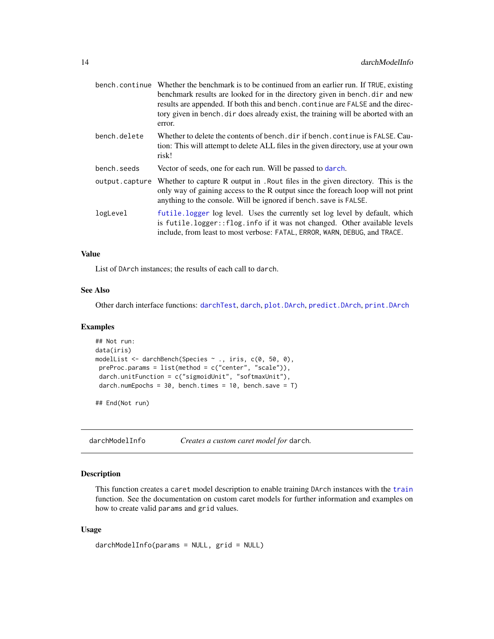<span id="page-13-0"></span>

|                | bench, continue Whether the benchmark is to be continued from an earlier run. If TRUE, existing<br>benchmark results are looked for in the directory given in bench.dir and new<br>results are appended. If both this and bench. continue are FALSE and the direc-<br>tory given in bench, dir does already exist, the training will be aborted with an<br>error. |
|----------------|-------------------------------------------------------------------------------------------------------------------------------------------------------------------------------------------------------------------------------------------------------------------------------------------------------------------------------------------------------------------|
| bench.delete   | Whether to delete the contents of bench, dir if bench, continue is FALSE. Cau-<br>tion: This will attempt to delete ALL files in the given directory, use at your own<br>risk!                                                                                                                                                                                    |
| bench.seeds    | Vector of seeds, one for each run. Will be passed to darch.                                                                                                                                                                                                                                                                                                       |
| output.capture | Whether to capture R output in . Rout files in the given directory. This is the<br>only way of gaining access to the R output since the foreach loop will not print<br>anything to the console. Will be ignored if bench, save is FALSE.                                                                                                                          |
| logLevel       | futile logger log level. Uses the currently set log level by default, which<br>is futile.logger::flog.info if it was not changed. Other available levels<br>include, from least to most verbose: FATAL, ERROR, WARN, DEBUG, and TRACE.                                                                                                                            |

## Value

List of DArch instances; the results of each call to darch.

## See Also

Other darch interface functions: [darchTest](#page-14-1), [darch](#page-4-1), [plot.DArch](#page-29-1), [predict.DArch](#page-30-1), [print.DArch](#page-31-1)

#### Examples

```
## Not run:
data(iris)
modelList <- darchBench(Species ~ ., iris, c(0, 50, 0),
 preProc.params = list(method = c("center", "scale")),
 darch.unitFunction = c("sigmoidUnit", "softmaxUnit"),
 darch.numEpochs = 30, bench.times = 10, bench.save = T)
```
## End(Not run)

darchModelInfo *Creates a custom caret model for* darch*.*

## Description

This function creates a caret model description to enable training DArch instances with the [train](#page-0-0) function. See the documentation on custom caret models for further information and examples on how to create valid params and grid values.

#### Usage

```
darchModelInfo(params = NULL, grid = NULL)
```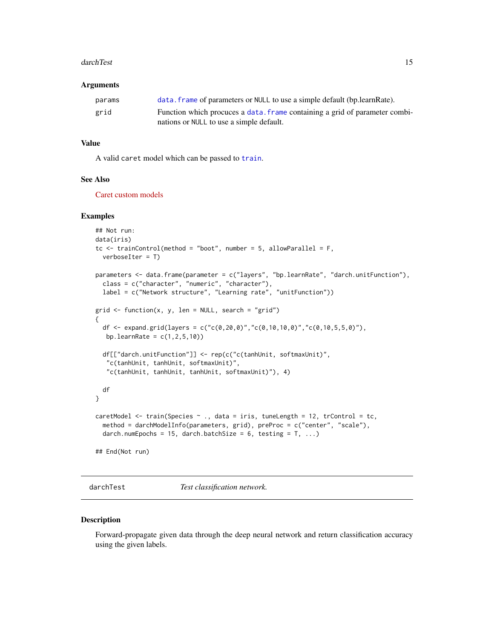#### <span id="page-14-0"></span>darchTest 15

#### Arguments

| params | data, frame of parameters or NULL to use a simple default (bp. learn Rate). |
|--------|-----------------------------------------------------------------------------|
| grid   | Function which procuces a data. frame containing a grid of parameter combi- |
|        | nations or NULL to use a simple default.                                    |

## Value

A valid caret model which can be passed to [train](#page-0-0).

## See Also

[Caret custom models](https://topepo.github.io/caret/custom_models.html)

#### Examples

```
## Not run:
data(iris)
tc \le trainControl(method = "boot", number = 5, allowParallel = F,
 verboseIter = T)
parameters <- data.frame(parameter = c("layers", "bp.learnRate", "darch.unitFunction"),
 class = c("character", "numeric", "character"),
 label = c("Network structure", "Learning rate", "unitFunction"))
grid \leq function(x, y, len = NULL, search = "grid"){
 df <- expand.grid(layers = c("c(0, 20, 0)", "c(0, 10, 10, 0)", "c(0, 10, 5, 5, 0)"),bp.learnRate = c(1, 2, 5, 10)df[["darch.unitFunction"]] <- rep(c("c(tanhUnit, softmaxUnit)",
  "c(tanhUnit, tanhUnit, softmaxUnit)",
   "c(tanhUnit, tanhUnit, tanhUnit, softmaxUnit)"), 4)
 df
}
caretModel <- train(Species ~ ., data = iris, tuneLength = 12, trControl = tc,
 method = darchModelInfo(parameters, grid), preProc = c("center", "scale"),
 darch.numEpochs = 15, darch.batchSize = 6, testing = T, ...)
## End(Not run)
```
<span id="page-14-1"></span>darchTest *Test classification network.*

#### Description

Forward-propagate given data through the deep neural network and return classification accuracy using the given labels.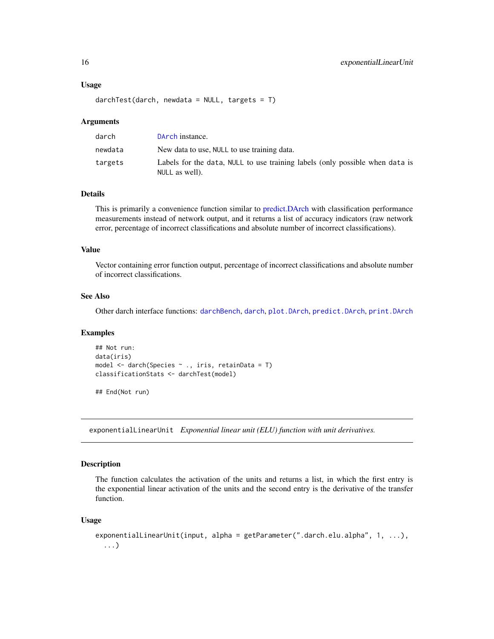#### Usage

 $darchTest(darch, newdata = NULL, targets = T)$ 

#### Arguments

| darch   | DArch instance.                                                                                |
|---------|------------------------------------------------------------------------------------------------|
| newdata | New data to use, NULL to use training data.                                                    |
| targets | Labels for the data, NULL to use training labels (only possible when data is<br>NULL as well). |

#### Details

This is primarily a convenience function similar to [predict.DArch](#page-30-1) with classification performance measurements instead of network output, and it returns a list of accuracy indicators (raw network error, percentage of incorrect classifications and absolute number of incorrect classifications).

## Value

Vector containing error function output, percentage of incorrect classifications and absolute number of incorrect classifications.

#### See Also

Other darch interface functions: [darchBench](#page-12-1), [darch](#page-4-1), [plot.DArch](#page-29-1), [predict.DArch](#page-30-1), [print.DArch](#page-31-1)

#### Examples

```
## Not run:
data(iris)
model <- darch(Species ~ ., iris, retainData = T)
classificationStats <- darchTest(model)
```
## End(Not run)

<span id="page-15-1"></span>exponentialLinearUnit *Exponential linear unit (ELU) function with unit derivatives.*

#### Description

The function calculates the activation of the units and returns a list, in which the first entry is the exponential linear activation of the units and the second entry is the derivative of the transfer function.

#### Usage

```
exponentialLinearUnit(input, alpha = getParameter(".darch.elu.alpha", 1, ...),
  ...)
```
<span id="page-15-0"></span>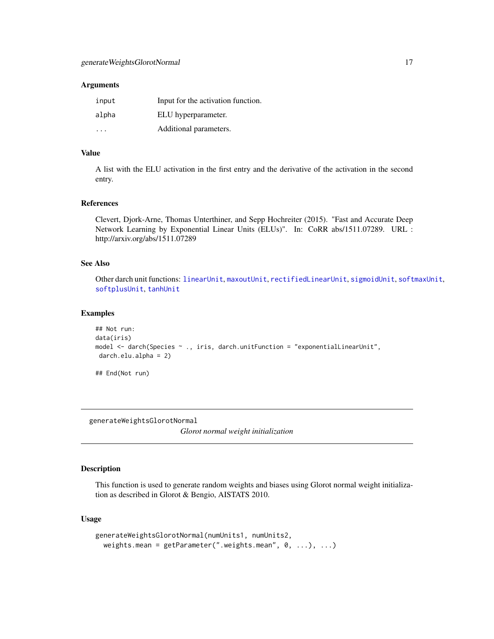#### <span id="page-16-0"></span>Arguments

| input | Input for the activation function. |
|-------|------------------------------------|
| alpha | ELU hyperparameter.                |
| .     | Additional parameters.             |

## Value

A list with the ELU activation in the first entry and the derivative of the activation in the second entry.

## References

Clevert, Djork-Arne, Thomas Unterthiner, and Sepp Hochreiter (2015). "Fast and Accurate Deep Network Learning by Exponential Linear Units (ELUs)". In: CoRR abs/1511.07289. URL : http://arxiv.org/abs/1511.07289

## See Also

Other darch unit functions: [linearUnit](#page-22-2), [maxoutUnit](#page-22-1), [rectifiedLinearUnit](#page-32-1), [sigmoidUnit](#page-36-1), [softmaxUnit](#page-37-1), [softplusUnit](#page-38-1), [tanhUnit](#page-39-1)

#### Examples

```
## Not run:
data(iris)
model <- darch(Species ~ ., iris, darch.unitFunction = "exponentialLinearUnit",
darch.elu.alpha = 2)
```
## End(Not run)

<span id="page-16-1"></span>generateWeightsGlorotNormal

*Glorot normal weight initialization*

## Description

This function is used to generate random weights and biases using Glorot normal weight initialization as described in Glorot & Bengio, AISTATS 2010.

## Usage

```
generateWeightsGlorotNormal(numUnits1, numUnits2,
 weights.mean = getParameter(".weights.mean", 0, ...), ...)
```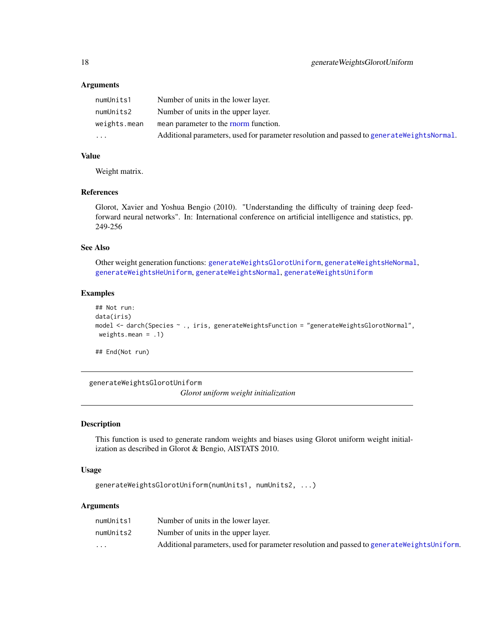### Arguments

| numUnits1    | Number of units in the lower layer.                                                         |
|--------------|---------------------------------------------------------------------------------------------|
| numUnits2    | Number of units in the upper layer.                                                         |
| weights.mean | mean parameter to the rnorm function.                                                       |
| .            | Additional parameters, used for parameter resolution and passed to generate Weights Normal. |

## Value

Weight matrix.

## References

Glorot, Xavier and Yoshua Bengio (2010). "Understanding the difficulty of training deep feedforward neural networks". In: International conference on artificial intelligence and statistics, pp. 249-256

## See Also

Other weight generation functions: [generateWeightsGlorotUniform](#page-17-1), [generateWeightsHeNormal](#page-18-1), [generateWeightsHeUniform](#page-19-1), [generateWeightsNormal](#page-20-1), [generateWeightsUniform](#page-21-1)

#### Examples

```
## Not run:
data(iris)
model <- darch(Species ~ ., iris, generateWeightsFunction = "generateWeightsGlorotNormal",
weights.mean = .1)
```
## End(Not run)

<span id="page-17-1"></span>generateWeightsGlorotUniform

*Glorot uniform weight initialization*

#### Description

This function is used to generate random weights and biases using Glorot uniform weight initialization as described in Glorot & Bengio, AISTATS 2010.

#### Usage

generateWeightsGlorotUniform(numUnits1, numUnits2, ...)

## Arguments

| numUnits1 | Number of units in the lower layer.                                                          |
|-----------|----------------------------------------------------------------------------------------------|
| numUnits2 | Number of units in the upper layer.                                                          |
| $\cdots$  | Additional parameters, used for parameter resolution and passed to generate Weights Uniform. |

<span id="page-17-0"></span>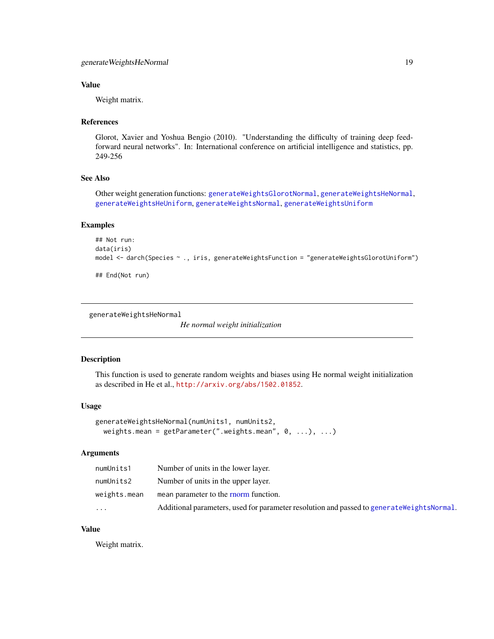## <span id="page-18-0"></span>Value

Weight matrix.

#### References

Glorot, Xavier and Yoshua Bengio (2010). "Understanding the difficulty of training deep feedforward neural networks". In: International conference on artificial intelligence and statistics, pp. 249-256

## See Also

Other weight generation functions: [generateWeightsGlorotNormal](#page-16-1), [generateWeightsHeNormal](#page-18-1), [generateWeightsHeUniform](#page-19-1), [generateWeightsNormal](#page-20-1), [generateWeightsUniform](#page-21-1)

## Examples

```
## Not run:
data(iris)
model <- darch(Species ~ ., iris, generateWeightsFunction = "generateWeightsGlorotUniform")
## End(Not run)
```

```
generateWeightsHeNormal
```
*He normal weight initialization*

#### Description

This function is used to generate random weights and biases using He normal weight initialization as described in He et al., <http://arxiv.org/abs/1502.01852>.

#### Usage

```
generateWeightsHeNormal(numUnits1, numUnits2,
 weights.mean = getParameter(".weights.mean", 0, ...), ...)
```
## Arguments

| numUnits1    | Number of units in the lower layer.                                                         |
|--------------|---------------------------------------------------------------------------------------------|
| numUnits2    | Number of units in the upper layer.                                                         |
| weights.mean | mean parameter to the rnorm function.                                                       |
| .            | Additional parameters, used for parameter resolution and passed to generate Weights Normal. |

## Value

Weight matrix.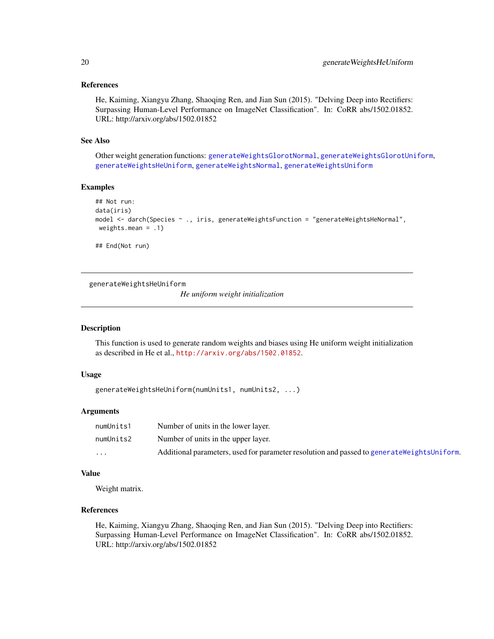#### <span id="page-19-0"></span>References

He, Kaiming, Xiangyu Zhang, Shaoqing Ren, and Jian Sun (2015). "Delving Deep into Rectifiers: Surpassing Human-Level Performance on ImageNet Classification". In: CoRR abs/1502.01852. URL: http://arxiv.org/abs/1502.01852

#### See Also

Other weight generation functions: [generateWeightsGlorotNormal](#page-16-1), [generateWeightsGlorotUniform](#page-17-1), [generateWeightsHeUniform](#page-19-1), [generateWeightsNormal](#page-20-1), [generateWeightsUniform](#page-21-1)

#### Examples

```
## Not run:
data(iris)
model <- darch(Species ~ ., iris, generateWeightsFunction = "generateWeightsHeNormal",
weights.mean = .1)
## End(Not run)
```
<span id="page-19-1"></span>generateWeightsHeUniform

*He uniform weight initialization*

## Description

This function is used to generate random weights and biases using He uniform weight initialization as described in He et al., <http://arxiv.org/abs/1502.01852>.

#### Usage

```
generateWeightsHeUniform(numUnits1, numUnits2, ...)
```
## Arguments

| numUnits1 | Number of units in the lower layer.                                                          |
|-----------|----------------------------------------------------------------------------------------------|
| numUnits2 | Number of units in the upper layer.                                                          |
| $\cdots$  | Additional parameters, used for parameter resolution and passed to generate Weights Uniform. |

#### Value

Weight matrix.

## References

He, Kaiming, Xiangyu Zhang, Shaoqing Ren, and Jian Sun (2015). "Delving Deep into Rectifiers: Surpassing Human-Level Performance on ImageNet Classification". In: CoRR abs/1502.01852. URL: http://arxiv.org/abs/1502.01852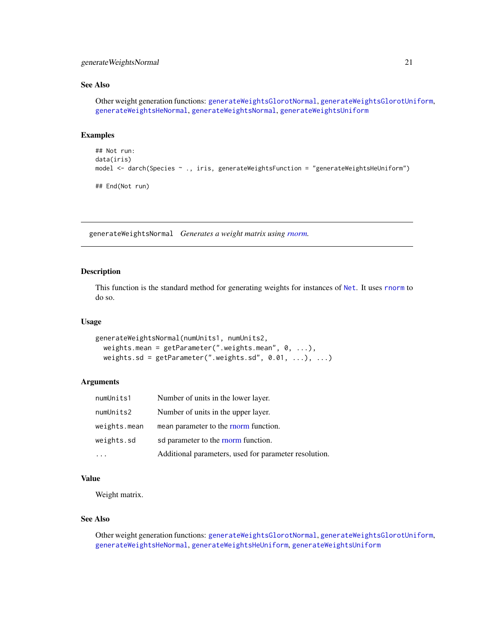## <span id="page-20-0"></span>generateWeightsNormal 21

## See Also

Other weight generation functions: [generateWeightsGlorotNormal](#page-16-1), [generateWeightsGlorotUniform](#page-17-1), [generateWeightsHeNormal](#page-18-1), [generateWeightsNormal](#page-20-1), [generateWeightsUniform](#page-21-1)

#### Examples

```
## Not run:
data(iris)
model <- darch(Species ~ ., iris, generateWeightsFunction = "generateWeightsHeUniform")
## End(Not run)
```
<span id="page-20-1"></span>generateWeightsNormal *Generates a weight matrix using [rnorm.](#page-0-0)*

#### Description

This function is the standard method for generating weights for instances of [Net](#page-0-0). It uses [rnorm](#page-0-0) to do so.

#### Usage

```
generateWeightsNormal(numUnits1, numUnits2,
 weights.mean = getParameter(".weights.mean", 0, ...),
 weights.sd = getParameter(".weights.sd", 0.01, ...), ...)
```
## Arguments

| numUnits1    | Number of units in the lower layer.                   |
|--------------|-------------------------------------------------------|
| numUnits2    | Number of units in the upper layer.                   |
| weights.mean | mean parameter to the rnorm function.                 |
| weights.sd   | sd parameter to the rnorm function.                   |
|              | Additional parameters, used for parameter resolution. |

## Value

Weight matrix.

## See Also

Other weight generation functions: [generateWeightsGlorotNormal](#page-16-1), [generateWeightsGlorotUniform](#page-17-1), [generateWeightsHeNormal](#page-18-1), [generateWeightsHeUniform](#page-19-1), [generateWeightsUniform](#page-21-1)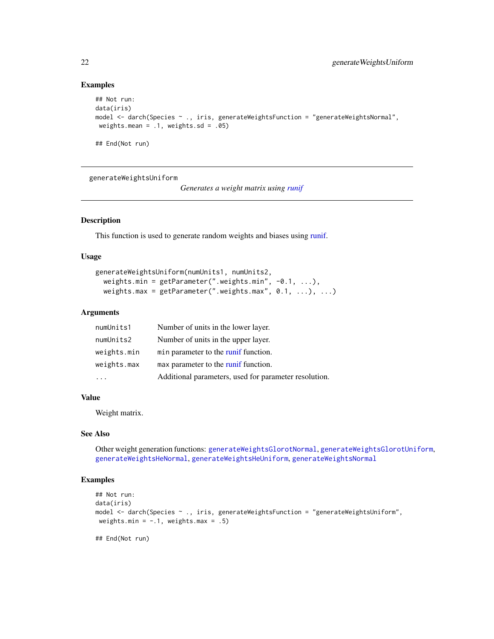#### Examples

```
## Not run:
data(iris)
model <- darch(Species ~ ., iris, generateWeightsFunction = "generateWeightsNormal",
weights.mean = .1, weights.sd = .05)
## End(Not run)
```
<span id="page-21-1"></span>generateWeightsUniform

*Generates a weight matrix using [runif](#page-0-0)*

#### Description

This function is used to generate random weights and biases using [runif.](#page-0-0)

#### Usage

```
generateWeightsUniform(numUnits1, numUnits2,
 weights.min = getParameter(".weights.min", -0.1, ...),
 weights.max = getParameter(".weights.max", 0.1, ...), ...)
```
## Arguments

| numUnits1   | Number of units in the lower layer.                   |
|-------------|-------------------------------------------------------|
| numUnits2   | Number of units in the upper layer.                   |
| weights.min | min parameter to the runif function.                  |
| weights.max | max parameter to the runif function.                  |
|             | Additional parameters, used for parameter resolution. |

#### Value

Weight matrix.

## See Also

Other weight generation functions: [generateWeightsGlorotNormal](#page-16-1), [generateWeightsGlorotUniform](#page-17-1), [generateWeightsHeNormal](#page-18-1), [generateWeightsHeUniform](#page-19-1), [generateWeightsNormal](#page-20-1)

## Examples

```
## Not run:
data(iris)
model <- darch(Species ~ ., iris, generateWeightsFunction = "generateWeightsUniform",
weights.min = -.1, weights.max = .5)
```
## End(Not run)

<span id="page-21-0"></span>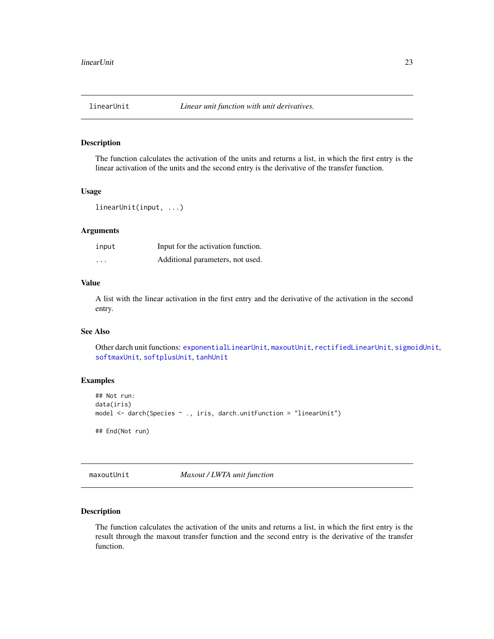<span id="page-22-2"></span><span id="page-22-0"></span>

The function calculates the activation of the units and returns a list, in which the first entry is the linear activation of the units and the second entry is the derivative of the transfer function.

#### Usage

```
linearUnit(input, ...)
```
## Arguments

| input | Input for the activation function. |
|-------|------------------------------------|
| .     | Additional parameters, not used.   |

#### Value

A list with the linear activation in the first entry and the derivative of the activation in the second entry.

#### See Also

Other darch unit functions: [exponentialLinearUnit](#page-15-1), [maxoutUnit](#page-22-1), [rectifiedLinearUnit](#page-32-1), [sigmoidUnit](#page-36-1), [softmaxUnit](#page-37-1), [softplusUnit](#page-38-1), [tanhUnit](#page-39-1)

## Examples

```
## Not run:
data(iris)
model <- darch(Species ~ ., iris, darch.unitFunction = "linearUnit")
## End(Not run)
```
<span id="page-22-1"></span>maxoutUnit *Maxout / LWTA unit function*

## Description

The function calculates the activation of the units and returns a list, in which the first entry is the result through the maxout transfer function and the second entry is the derivative of the transfer function.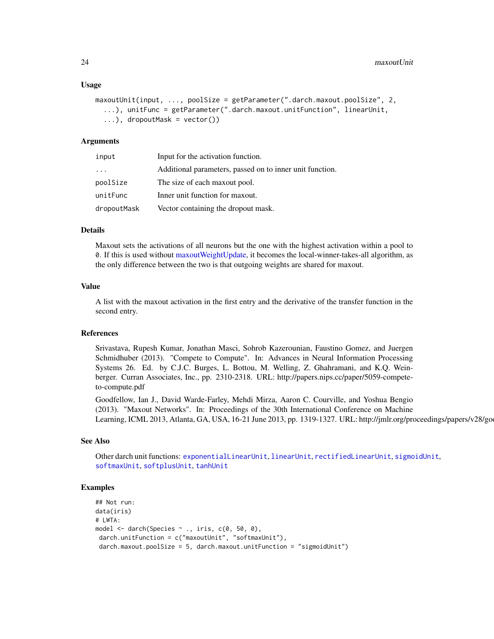#### <span id="page-23-0"></span>Usage

```
maxoutUnit(input, ..., poolSize = getParameter(".darch.maxout.poolSize", 2,
  ...), unitFunc = getParameter(".darch.maxout.unitFunction", linearUnit,
  \ldots), dropoutMask = vector())
```
#### Arguments

| input                   | Input for the activation function.                       |
|-------------------------|----------------------------------------------------------|
| $\cdot$ $\cdot$ $\cdot$ | Additional parameters, passed on to inner unit function. |
| poolSize                | The size of each maxout pool.                            |
| unitFunc                | Inner unit function for maxout.                          |
| dropoutMask             | Vector containing the dropout mask.                      |

## Details

Maxout sets the activations of all neurons but the one with the highest activation within a pool to 0. If this is used without [maxoutWeightUpdate,](#page-24-1) it becomes the local-winner-takes-all algorithm, as the only difference between the two is that outgoing weights are shared for maxout.

#### Value

A list with the maxout activation in the first entry and the derivative of the transfer function in the second entry.

## References

Srivastava, Rupesh Kumar, Jonathan Masci, Sohrob Kazerounian, Faustino Gomez, and Juergen Schmidhuber (2013). "Compete to Compute". In: Advances in Neural Information Processing Systems 26. Ed. by C.J.C. Burges, L. Bottou, M. Welling, Z. Ghahramani, and K.Q. Weinberger. Curran Associates, Inc., pp. 2310-2318. URL: http://papers.nips.cc/paper/5059-competeto-compute.pdf

Goodfellow, Ian J., David Warde-Farley, Mehdi Mirza, Aaron C. Courville, and Yoshua Bengio (2013). "Maxout Networks". In: Proceedings of the 30th International Conference on Machine Learning, ICML 2013, Atlanta, GA, USA, 16-21 June 2013, pp. 1319-1327. URL: http://jmlr.org/proceedings/papers/v28/go

#### See Also

Other darch unit functions: [exponentialLinearUnit](#page-15-1), [linearUnit](#page-22-2), [rectifiedLinearUnit](#page-32-1), [sigmoidUnit](#page-36-1), [softmaxUnit](#page-37-1), [softplusUnit](#page-38-1), [tanhUnit](#page-39-1)

#### Examples

```
## Not run:
data(iris)
# LWTA:
model <- darch(Species ~ ., iris, c(0, 50, 0),
darch.unitFunction = c("maxoutUnit", "softmaxUnit"),
 darch.maxout.poolSize = 5, darch.maxout.unitFunction = "sigmoidUnit")
```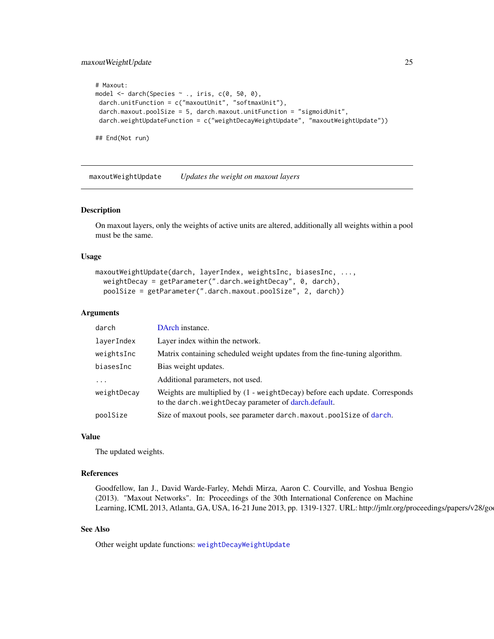## <span id="page-24-0"></span>maxoutWeightUpdate 25

```
# Maxout:
model <- darch(Species ~ ., iris, c(0, 50, 0),
darch.unitFunction = c("maxoutUnit", "softmaxUnit"),
darch.maxout.poolSize = 5, darch.maxout.unitFunction = "sigmoidUnit",
darch.weightUpdateFunction = c("weightDecayWeightUpdate", "maxoutWeightUpdate"))
## End(Not run)
```
<span id="page-24-1"></span>maxoutWeightUpdate *Updates the weight on maxout layers*

#### Description

On maxout layers, only the weights of active units are altered, additionally all weights within a pool must be the same.

#### Usage

```
maxoutWeightUpdate(darch, layerIndex, weightsInc, biasesInc, ...,
 weightDecay = getParameter(".darch.weightDecay", 0, darch),
 poolSize = getParameter(".darch.maxout.poolSize", 2, darch))
```
#### Arguments

| darch                   | DArch instance.                                                                                                                           |
|-------------------------|-------------------------------------------------------------------------------------------------------------------------------------------|
| laverIndex              | Layer index within the network.                                                                                                           |
| weightsInc              | Matrix containing scheduled weight updates from the fine-tuning algorithm.                                                                |
| biasesInc               | Bias weight updates.                                                                                                                      |
| $\cdot$ $\cdot$ $\cdot$ | Additional parameters, not used.                                                                                                          |
| weightDecay             | Weights are multiplied by $(1 - weightDecay)$ before each update. Corresponds<br>to the darch, we ight Decay parameter of darch, default. |
| poolSize                | Size of maxout pools, see parameter darch.maxout.poolSize of darch.                                                                       |

#### Value

The updated weights.

#### References

Goodfellow, Ian J., David Warde-Farley, Mehdi Mirza, Aaron C. Courville, and Yoshua Bengio (2013). "Maxout Networks". In: Proceedings of the 30th International Conference on Machine Learning, ICML 2013, Atlanta, GA, USA, 16-21 June 2013, pp. 1319-1327. URL: http://jmlr.org/proceedings/papers/v28/go

## See Also

Other weight update functions: [weightDecayWeightUpdate](#page-39-2)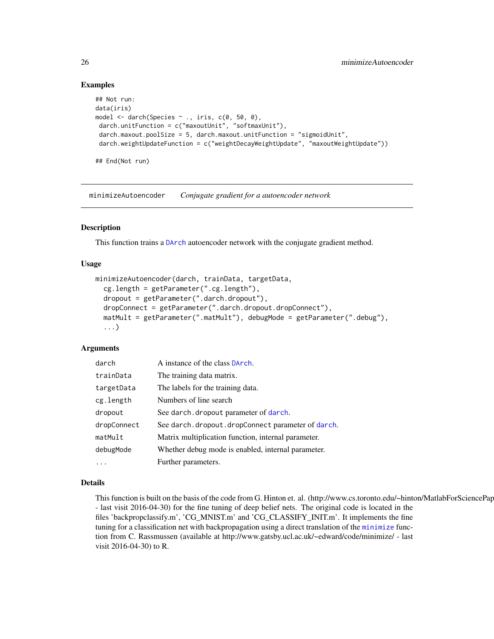## Examples

```
## Not run:
data(iris)
model \leq darch(Species \sim ., iris, c(0, 50, 0),
 darch.unitFunction = c("maxoutUnit", "softmaxUnit"),
 darch.maxout.poolSize = 5, darch.maxout.unitFunction = "sigmoidUnit",
 darch.weightUpdateFunction = c("weightDecayWeightUpdate", "maxoutWeightUpdate"))
```
## End(Not run)

<span id="page-25-1"></span>minimizeAutoencoder *Conjugate gradient for a autoencoder network*

## Description

This function trains a [DArch](#page-0-0) autoencoder network with the conjugate gradient method.

## Usage

```
minimizeAutoencoder(darch, trainData, targetData,
 cg.length = getParameter(".cg.length"),
  dropout = getParameter(".darch.dropout"),
  dropConnect = getParameter(".darch.dropout.dropConnect"),
 matMult = getParameter(".matMult"), debugMode = getParameter(".debug"),
  ...)
```
#### Arguments

| darch       | A instance of the class DArch.                      |
|-------------|-----------------------------------------------------|
| trainData   | The training data matrix.                           |
| targetData  | The labels for the training data.                   |
| cg.length   | Numbers of line search                              |
| dropout     | See darch. dropout parameter of darch.              |
| dropConnect | See darch.dropout.dropConnect parameter of darch.   |
| matMult     | Matrix multiplication function, internal parameter. |
| debugMode   | Whether debug mode is enabled, internal parameter.  |
| $\cdots$    | Further parameters.                                 |

#### Details

This function is built on the basis of the code from G. Hinton et. al. (http://www.cs.toronto.edu/~hinton/MatlabForSciencePap - last visit 2016-04-30) for the fine tuning of deep belief nets. The original code is located in the files 'backpropclassify.m', 'CG\_MNIST.m' and 'CG\_CLASSIFY\_INIT.m'. It implements the fine tuning for a classification net with backpropagation using a direct translation of the [minimize](#page-0-0) function from C. Rassmussen (available at http://www.gatsby.ucl.ac.uk/~edward/code/minimize/ - last visit 2016-04-30) to R.

<span id="page-25-0"></span>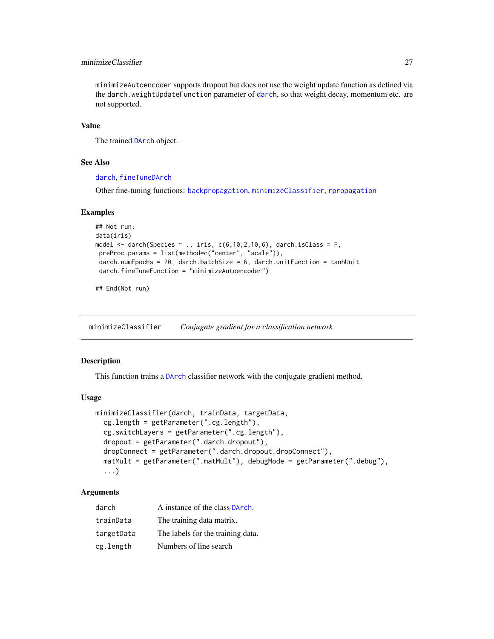## <span id="page-26-0"></span>minimizeClassifier 27

minimizeAutoencoder supports dropout but does not use the weight update function as defined via the darch.weightUpdateFunction parameter of [darch](#page-4-1), so that weight decay, momentum etc. are not supported.

#### Value

The trained [DArch](#page-0-0) object.

#### See Also

[darch](#page-4-1), [fineTuneDArch](#page-0-0)

Other fine-tuning functions: [backpropagation](#page-2-1), [minimizeClassifier](#page-26-1), [rpropagation](#page-34-1)

## Examples

```
## Not run:
data(iris)
model \leq darch(Species \sim ., iris, c(6,10,2,10,6), darch.isClass = F,
preProc.params = list(method=c("center", "scale")),
darch.numEpochs = 20, darch.batchSize = 6, darch.unitFunction = tanhUnit
darch.fineTuneFunction = "minimizeAutoencoder")
```
## End(Not run)

<span id="page-26-1"></span>minimizeClassifier *Conjugate gradient for a classification network*

#### **Description**

This function trains a [DArch](#page-0-0) classifier network with the conjugate gradient method.

#### Usage

```
minimizeClassifier(darch, trainData, targetData,
  cg.length = getParameter(".cg.length"),
  cg.switchLayers = getParameter(".cg.length"),
  dropout = getParameter(".darch.dropout"),
  dropConnect = getParameter(".darch.dropout.dropConnect"),
 matMult = getParameter(".matMult"), debugMode = getParameter(".debug"),
  ...)
```
## Arguments

| darch      | A instance of the class DArch.    |
|------------|-----------------------------------|
| trainData  | The training data matrix.         |
| targetData | The labels for the training data. |
| cg.length  | Numbers of line search            |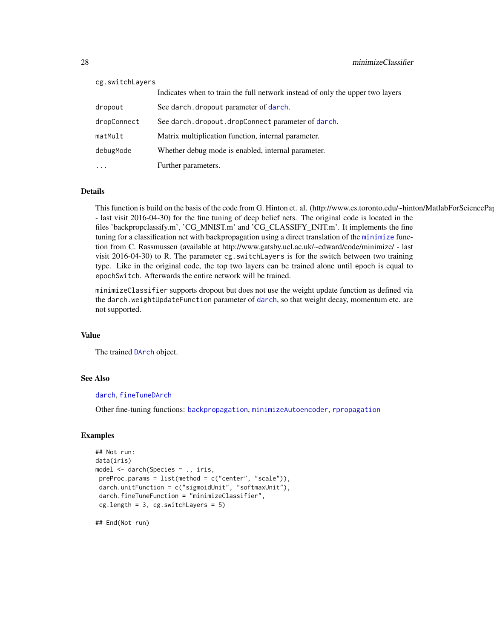<span id="page-27-0"></span>

| cg.switchLayers |                                                                               |  |
|-----------------|-------------------------------------------------------------------------------|--|
|                 | Indicates when to train the full network instead of only the upper two layers |  |
| dropout         | See darch, dropout parameter of darch.                                        |  |
| dropConnect     | See darch, dropout, dropConnect parameter of darch.                           |  |
| matMult         | Matrix multiplication function, internal parameter.                           |  |
| debugMode       | Whether debug mode is enabled, internal parameter.                            |  |
| $\ddotsc$       | Further parameters.                                                           |  |

#### Details

This function is build on the basis of the code from G. Hinton et. al. (http://www.cs.toronto.edu/~hinton/MatlabForSciencePap - last visit 2016-04-30) for the fine tuning of deep belief nets. The original code is located in the files 'backpropclassify.m', 'CG\_MNIST.m' and 'CG\_CLASSIFY\_INIT.m'. It implements the fine tuning for a classification net with backpropagation using a direct translation of the [minimize](#page-0-0) function from C. Rassmussen (available at http://www.gatsby.ucl.ac.uk/~edward/code/minimize/ - last visit 2016-04-30) to R. The parameter cg.switchLayers is for the switch between two training type. Like in the original code, the top two layers can be trained alone until epoch is equal to epochSwitch. Afterwards the entire network will be trained.

minimizeClassifier supports dropout but does not use the weight update function as defined via the darch.weightUpdateFunction parameter of [darch](#page-4-1), so that weight decay, momentum etc. are not supported.

#### Value

The trained [DArch](#page-0-0) object.

## See Also

#### [darch](#page-4-1), [fineTuneDArch](#page-0-0)

Other fine-tuning functions: [backpropagation](#page-2-1), [minimizeAutoencoder](#page-25-1), [rpropagation](#page-34-1)

#### Examples

```
## Not run:
data(iris)
model <- darch(Species ~ ., iris,
preProc.params = list(method = c("center", "scale")),
darch.unitFunction = c("sigmoidUnit", "softmaxUnit"),
darch.fineTuneFunction = "minimizeClassifier",
cg.length = 3, cg.sub = 5)
```
## End(Not run)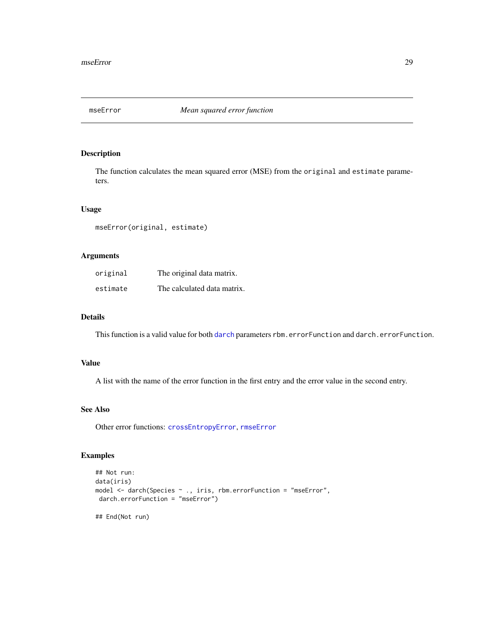<span id="page-28-1"></span><span id="page-28-0"></span>

The function calculates the mean squared error (MSE) from the original and estimate parameters.

## Usage

mseError(original, estimate)

## Arguments

| original | The original data matrix.   |
|----------|-----------------------------|
| estimate | The calculated data matrix. |

#### Details

This function is a valid value for both [darch](#page-4-1) parameters rbm.errorFunction and darch.errorFunction.

#### Value

A list with the name of the error function in the first entry and the error value in the second entry.

## See Also

Other error functions: [crossEntropyError](#page-3-1), [rmseError](#page-33-1)

## Examples

```
## Not run:
data(iris)
model <- darch(Species ~ ., iris, rbm.errorFunction = "mseError",
darch.errorFunction = "mseError")
## End(Not run)
```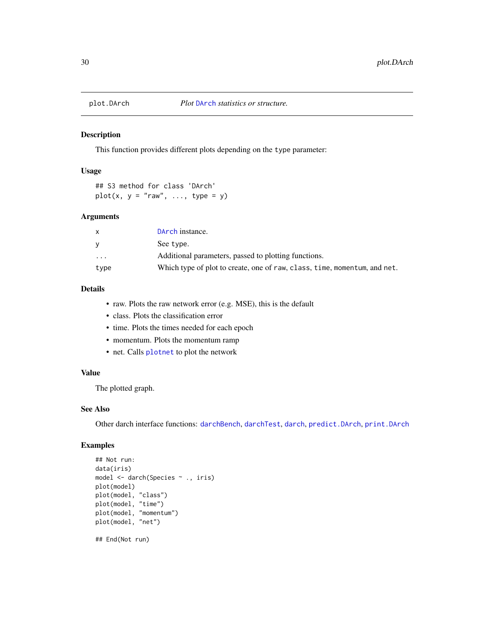<span id="page-29-1"></span><span id="page-29-0"></span>

This function provides different plots depending on the type parameter:

#### Usage

## S3 method for class 'DArch'  $plot(x, y = "raw", ..., type = y)$ 

#### Arguments

| x        | DArch instance.                                                           |
|----------|---------------------------------------------------------------------------|
| v        | See type.                                                                 |
| $\cdots$ | Additional parameters, passed to plotting functions.                      |
| type     | Which type of plot to create, one of raw, class, time, momentum, and net. |

## Details

- raw. Plots the raw network error (e.g. MSE), this is the default
- class. Plots the classification error
- time. Plots the times needed for each epoch
- momentum. Plots the momentum ramp
- net. Calls [plotnet](#page-0-0) to plot the network

## Value

The plotted graph.

## See Also

Other darch interface functions: [darchBench](#page-12-1), [darchTest](#page-14-1), [darch](#page-4-1), [predict.DArch](#page-30-1), [print.DArch](#page-31-1)

## Examples

```
## Not run:
data(iris)
model <- darch(Species ~ ., iris)
plot(model)
plot(model, "class")
plot(model, "time")
plot(model, "momentum")
plot(model, "net")
```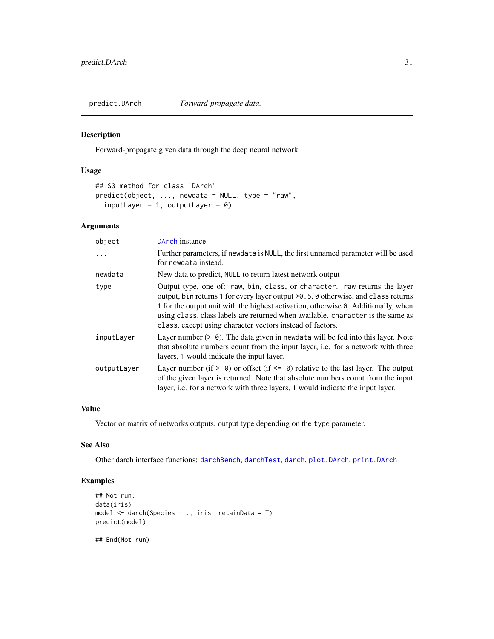<span id="page-30-1"></span><span id="page-30-0"></span>

Forward-propagate given data through the deep neural network.

#### Usage

```
## S3 method for class 'DArch'
predict(object, ..., newdata = NULL, type = "raw",
  inputLayer = 1, outputLayer = 0)
```
## Arguments

| object      | DArch instance                                                                                                                                                                                                                                                                                                                                                                                        |
|-------------|-------------------------------------------------------------------------------------------------------------------------------------------------------------------------------------------------------------------------------------------------------------------------------------------------------------------------------------------------------------------------------------------------------|
| $\ddots$    | Further parameters, if newdata is NULL, the first unnamed parameter will be used<br>for newdata instead.                                                                                                                                                                                                                                                                                              |
| newdata     | New data to predict, NULL to return latest network output                                                                                                                                                                                                                                                                                                                                             |
| type        | Output type, one of: raw, bin, class, or character. raw returns the layer<br>output, bin returns 1 for every layer output > 0.5, 0 otherwise, and class returns<br>1 for the output unit with the highest activation, otherwise 0. Additionally, when<br>using class, class labels are returned when available. character is the same as<br>class, except using character vectors instead of factors. |
| inputLayer  | Layer number $(> 0)$ . The data given in newdata will be fed into this layer. Note<br>that absolute numbers count from the input layer, i.e. for a network with three<br>layers, 1 would indicate the input layer.                                                                                                                                                                                    |
| outputLayer | Layer number (if $> 0$ ) or offset (if $\leq 0$ ) relative to the last layer. The output<br>of the given layer is returned. Note that absolute numbers count from the input<br>layer, i.e. for a network with three layers, 1 would indicate the input layer.                                                                                                                                         |

## Value

Vector or matrix of networks outputs, output type depending on the type parameter.

## See Also

Other darch interface functions: [darchBench](#page-12-1), [darchTest](#page-14-1), [darch](#page-4-1), [plot.DArch](#page-29-1), [print.DArch](#page-31-1)

#### Examples

```
## Not run:
data(iris)
model <- darch(Species ~ ., iris, retainData = T)
predict(model)
```
## End(Not run)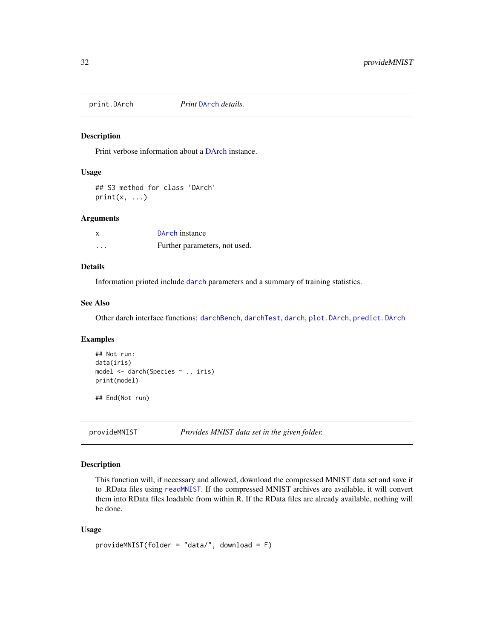<span id="page-31-1"></span><span id="page-31-0"></span>

Print verbose information about a [DArch](#page-0-0) instance.

#### Usage

## S3 method for class 'DArch'  $print(x, \ldots)$ 

## Arguments

| x | DArch instance                |
|---|-------------------------------|
| . | Further parameters, not used. |

## Details

Information printed include [darch](#page-4-1) parameters and a summary of training statistics.

## See Also

Other darch interface functions: [darchBench](#page-12-1), [darchTest](#page-14-1), [darch](#page-4-1), [plot.DArch](#page-29-1), [predict.DArch](#page-30-1)

## Examples

```
## Not run:
data(iris)
model <- darch(Species ~ ., iris)
print(model)
```
## End(Not run)

provideMNIST *Provides MNIST data set in the given folder.*

#### Description

This function will, if necessary and allowed, download the compressed MNIST data set and save it to .RData files using [readMNIST](#page-0-0). If the compressed MNIST archives are available, it will convert them into RData files loadable from within R. If the RData files are already available, nothing will be done.

#### Usage

```
provideMNIST(folder = "data/", download = F)
```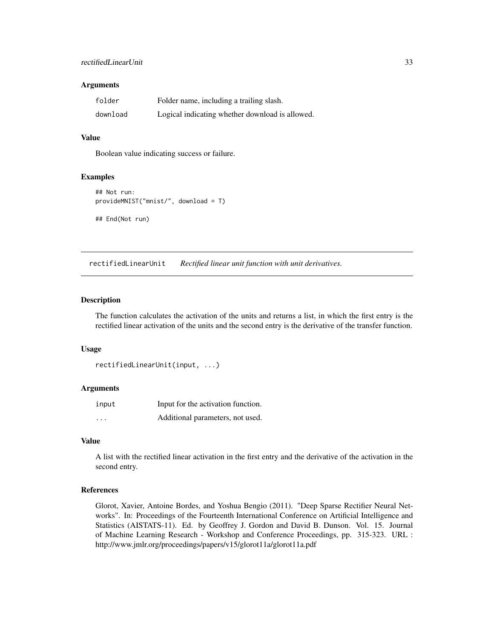#### <span id="page-32-0"></span>Arguments

| folder   | Folder name, including a trailing slash.        |
|----------|-------------------------------------------------|
| download | Logical indicating whether download is allowed. |

#### Value

Boolean value indicating success or failure.

## Examples

```
## Not run:
provideMNIST("mnist/", download = T)
## End(Not run)
```
<span id="page-32-1"></span>rectifiedLinearUnit *Rectified linear unit function with unit derivatives.*

#### Description

The function calculates the activation of the units and returns a list, in which the first entry is the rectified linear activation of the units and the second entry is the derivative of the transfer function.

#### Usage

```
rectifiedLinearUnit(input, ...)
```
#### Arguments

| input    | Input for the activation function. |
|----------|------------------------------------|
| $\cdots$ | Additional parameters, not used.   |

#### Value

A list with the rectified linear activation in the first entry and the derivative of the activation in the second entry.

#### References

Glorot, Xavier, Antoine Bordes, and Yoshua Bengio (2011). "Deep Sparse Rectifier Neural Networks". In: Proceedings of the Fourteenth International Conference on Artificial Intelligence and Statistics (AISTATS-11). Ed. by Geoffrey J. Gordon and David B. Dunson. Vol. 15. Journal of Machine Learning Research - Workshop and Conference Proceedings, pp. 315-323. URL : http://www.jmlr.org/proceedings/papers/v15/glorot11a/glorot11a.pdf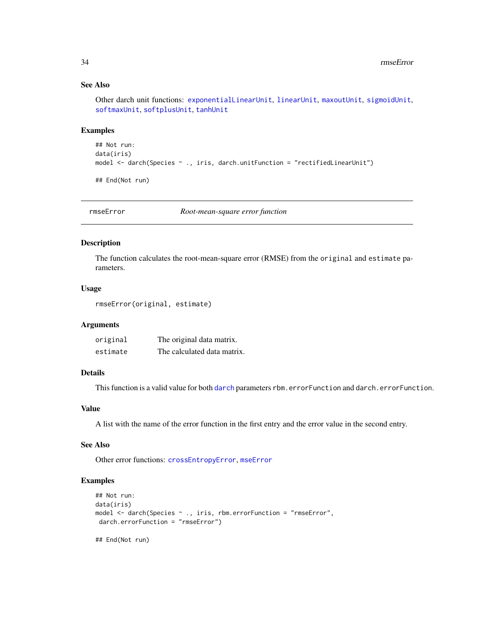## See Also

Other darch unit functions: [exponentialLinearUnit](#page-15-1), [linearUnit](#page-22-2), [maxoutUnit](#page-22-1), [sigmoidUnit](#page-36-1), [softmaxUnit](#page-37-1), [softplusUnit](#page-38-1), [tanhUnit](#page-39-1)

## Examples

```
## Not run:
data(iris)
model <- darch(Species ~ ., iris, darch.unitFunction = "rectifiedLinearUnit")
## End(Not run)
```
<span id="page-33-1"></span>rmseError *Root-mean-square error function*

## Description

The function calculates the root-mean-square error (RMSE) from the original and estimate parameters.

## Usage

```
rmseError(original, estimate)
```
#### Arguments

| original | The original data matrix.   |
|----------|-----------------------------|
| estimate | The calculated data matrix. |

## Details

This function is a valid value for both [darch](#page-4-1) parameters rbm.errorFunction and darch.errorFunction.

## Value

A list with the name of the error function in the first entry and the error value in the second entry.

## See Also

Other error functions: [crossEntropyError](#page-3-1), [mseError](#page-28-1)

#### Examples

```
## Not run:
data(iris)
model <- darch(Species ~ ., iris, rbm.errorFunction = "rmseError",
darch.errorFunction = "rmseError")
```
## End(Not run)

<span id="page-33-0"></span>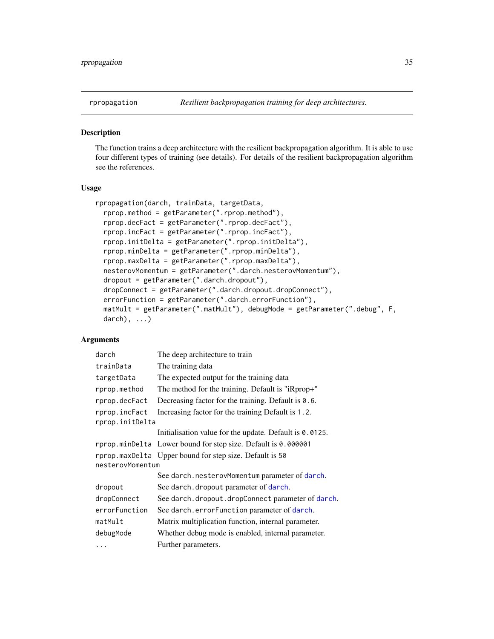<span id="page-34-1"></span><span id="page-34-0"></span>

The function trains a deep architecture with the resilient backpropagation algorithm. It is able to use four different types of training (see details). For details of the resilient backpropagation algorithm see the references.

## Usage

```
rpropagation(darch, trainData, targetData,
  rprop.method = getParameter(".rprop.method"),
  rprop.decFact = getParameter(".rprop.decFact"),
  rprop.incFact = getParameter(".rprop.incFact"),
  rprop.initDelta = getParameter(".rprop.initDelta"),
  rprop.minDelta = getParameter(".rprop.minDelta"),
  rprop.maxDelta = getParameter(".rprop.maxDelta"),
  nesterovMomentum = getParameter(".darch.nesterovMomentum"),
  dropout = getParameter(".darch.dropout"),
  dropConnect = getParameter(".darch.dropout.dropConnect"),
 errorFunction = getParameter(".darch.errorFunction"),
 matMult = getParameter(".matMult"), debugMode = getParameter(".debug", F,
 darch), ...)
```
## Arguments

| darch            | The deep architecture to train                                |  |
|------------------|---------------------------------------------------------------|--|
| trainData        | The training data                                             |  |
| targetData       | The expected output for the training data                     |  |
| rprop.method     | The method for the training. Default is "iRprop+"             |  |
| rprop.decFact    | Decreasing factor for the training. Default is 0.6.           |  |
| rprop.incFact    | Increasing factor for the training Default is 1.2.            |  |
| rprop.initDelta  |                                                               |  |
|                  | Initialisation value for the update. Default is 0.0125.       |  |
|                  | rprop.minDelta Lower bound for step size. Default is 0.000001 |  |
|                  |                                                               |  |
| nesterovMomentum | rprop.maxDelta Upper bound for step size. Default is 50       |  |
|                  | See darch.nesterovMomentum parameter of darch.                |  |
| dropout          | See darch. dropout parameter of darch.                        |  |
| dropConnect      | See darch. dropout. dropConnect parameter of darch.           |  |
| errorFunction    | See darch.errorFunction parameter of darch.                   |  |
| matMult          | Matrix multiplication function, internal parameter.           |  |
| debugMode        | Whether debug mode is enabled, internal parameter.            |  |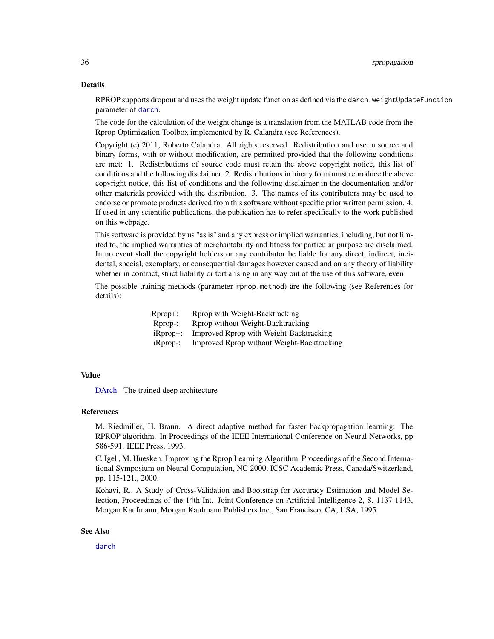#### <span id="page-35-0"></span>Details

RPROP supports dropout and uses the weight update function as defined via the darch.weightUpdateFunction parameter of [darch](#page-4-1).

The code for the calculation of the weight change is a translation from the MATLAB code from the Rprop Optimization Toolbox implemented by R. Calandra (see References).

Copyright (c) 2011, Roberto Calandra. All rights reserved. Redistribution and use in source and binary forms, with or without modification, are permitted provided that the following conditions are met: 1. Redistributions of source code must retain the above copyright notice, this list of conditions and the following disclaimer. 2. Redistributions in binary form must reproduce the above copyright notice, this list of conditions and the following disclaimer in the documentation and/or other materials provided with the distribution. 3. The names of its contributors may be used to endorse or promote products derived from this software without specific prior written permission. 4. If used in any scientific publications, the publication has to refer specifically to the work published on this webpage.

This software is provided by us "as is" and any express or implied warranties, including, but not limited to, the implied warranties of merchantability and fitness for particular purpose are disclaimed. In no event shall the copyright holders or any contributor be liable for any direct, indirect, incidental, special, exemplary, or consequential damages however caused and on any theory of liability whether in contract, strict liability or tort arising in any way out of the use of this software, even

The possible training methods (parameter rprop.method) are the following (see References for details):

| Rprop+:     | Rprop with Weight-Backtracking             |
|-------------|--------------------------------------------|
| $Rprop$ :   | Rprop without Weight-Backtracking          |
| $iR$ prop+: | Improved Rprop with Weight-Backtracking    |
| $i$ Rprop-: | Improved Rprop without Weight-Backtracking |

#### Value

[DArch](#page-0-0) - The trained deep architecture

## References

M. Riedmiller, H. Braun. A direct adaptive method for faster backpropagation learning: The RPROP algorithm. In Proceedings of the IEEE International Conference on Neural Networks, pp 586-591. IEEE Press, 1993.

C. Igel , M. Huesken. Improving the Rprop Learning Algorithm, Proceedings of the Second International Symposium on Neural Computation, NC 2000, ICSC Academic Press, Canada/Switzerland, pp. 115-121., 2000.

Kohavi, R., A Study of Cross-Validation and Bootstrap for Accuracy Estimation and Model Selection, Proceedings of the 14th Int. Joint Conference on Artificial Intelligence 2, S. 1137-1143, Morgan Kaufmann, Morgan Kaufmann Publishers Inc., San Francisco, CA, USA, 1995.

#### See Also

[darch](#page-4-1)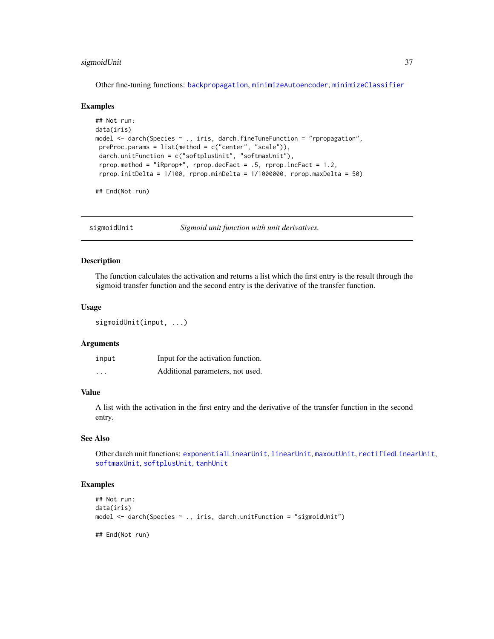## <span id="page-36-0"></span>sigmoidUnit 37

Other fine-tuning functions: [backpropagation](#page-2-1), [minimizeAutoencoder](#page-25-1), [minimizeClassifier](#page-26-1)

#### Examples

```
## Not run:
data(iris)
model <- darch(Species ~ ., iris, darch.fineTuneFunction = "rpropagation",
preProc.params = list(method = c("center", "scale")),
darch.unitFunction = c("softplusUnit", "softmaxUnit"),
rprop.method = "iRprop+", rprop.decFact = .5, rprop.incFact = 1.2,
rprop.initDelta = 1/100, rprop.minDelta = 1/1000000, rprop.maxDelta = 50)
```
## End(Not run)

<span id="page-36-1"></span>sigmoidUnit *Sigmoid unit function with unit derivatives.*

## Description

The function calculates the activation and returns a list which the first entry is the result through the sigmoid transfer function and the second entry is the derivative of the transfer function.

## Usage

```
sigmoidUnit(input, ...)
```
#### Arguments

| input   | Input for the activation function. |  |
|---------|------------------------------------|--|
| $\cdot$ | Additional parameters, not used.   |  |

## Value

A list with the activation in the first entry and the derivative of the transfer function in the second entry.

## See Also

Other darch unit functions: [exponentialLinearUnit](#page-15-1), [linearUnit](#page-22-2), [maxoutUnit](#page-22-1), [rectifiedLinearUnit](#page-32-1), [softmaxUnit](#page-37-1), [softplusUnit](#page-38-1), [tanhUnit](#page-39-1)

## **Examples**

```
## Not run:
data(iris)
model <- darch(Species ~ ., iris, darch.unitFunction = "sigmoidUnit")
```
## End(Not run)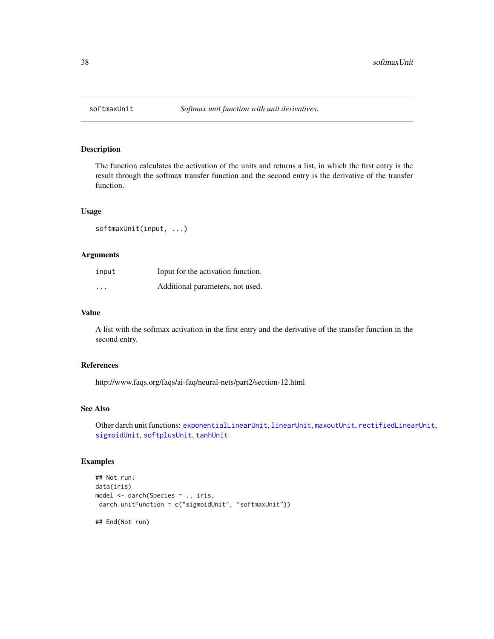<span id="page-37-1"></span><span id="page-37-0"></span>

The function calculates the activation of the units and returns a list, in which the first entry is the result through the softmax transfer function and the second entry is the derivative of the transfer function.

## Usage

```
softmaxUnit(input, ...)
```
## Arguments

| input                   | Input for the activation function. |
|-------------------------|------------------------------------|
| $\cdot$ $\cdot$ $\cdot$ | Additional parameters, not used.   |

## Value

A list with the softmax activation in the first entry and the derivative of the transfer function in the second entry.

## References

http://www.faqs.org/faqs/ai-faq/neural-nets/part2/section-12.html

## See Also

Other darch unit functions: [exponentialLinearUnit](#page-15-1), [linearUnit](#page-22-2), [maxoutUnit](#page-22-1), [rectifiedLinearUnit](#page-32-1), [sigmoidUnit](#page-36-1), [softplusUnit](#page-38-1), [tanhUnit](#page-39-1)

## Examples

```
## Not run:
data(iris)
model <- darch(Species ~ ., iris,
darch.unitFunction = c("sigmoidUnit", "softmaxUnit"))
```
## End(Not run)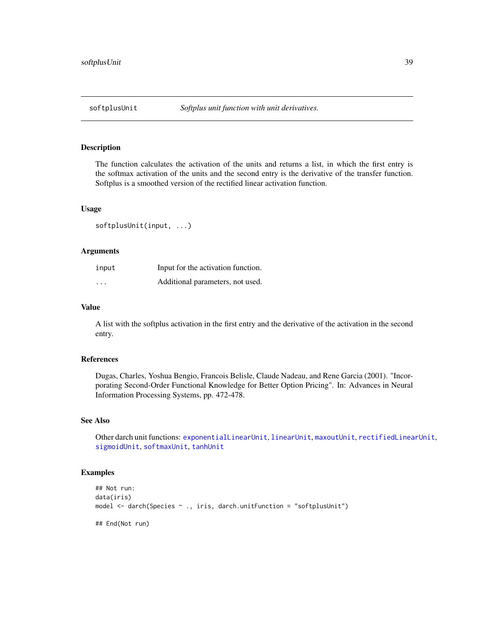<span id="page-38-1"></span><span id="page-38-0"></span>

The function calculates the activation of the units and returns a list, in which the first entry is the softmax activation of the units and the second entry is the derivative of the transfer function. Softplus is a smoothed version of the rectified linear activation function.

## Usage

softplusUnit(input, ...)

#### Arguments

| input             | Input for the activation function. |
|-------------------|------------------------------------|
| $\cdot\cdot\cdot$ | Additional parameters, not used.   |

## Value

A list with the softplus activation in the first entry and the derivative of the activation in the second entry.

## References

Dugas, Charles, Yoshua Bengio, Francois Belisle, Claude Nadeau, and Rene Garcia (2001). "Incorporating Second-Order Functional Knowledge for Better Option Pricing". In: Advances in Neural Information Processing Systems, pp. 472-478.

#### See Also

Other darch unit functions: [exponentialLinearUnit](#page-15-1), [linearUnit](#page-22-2), [maxoutUnit](#page-22-1), [rectifiedLinearUnit](#page-32-1), [sigmoidUnit](#page-36-1), [softmaxUnit](#page-37-1), [tanhUnit](#page-39-1)

## Examples

```
## Not run:
data(iris)
model <- darch(Species ~ ., iris, darch.unitFunction = "softplusUnit")
## End(Not run)
```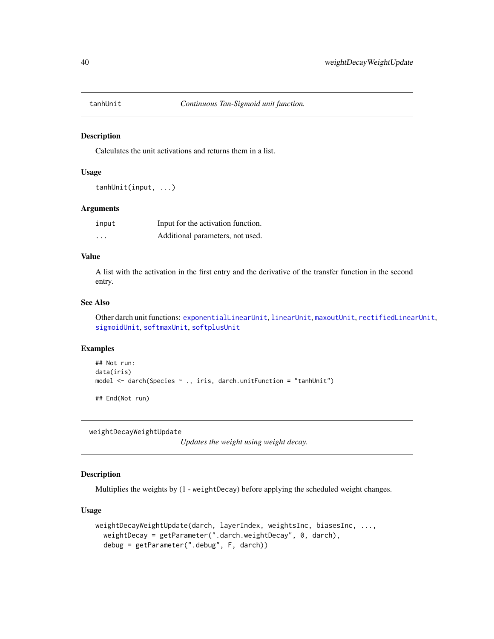<span id="page-39-1"></span><span id="page-39-0"></span>

Calculates the unit activations and returns them in a list.

#### Usage

```
tanhUnit(input, ...)
```
#### Arguments

| input    | Input for the activation function. |
|----------|------------------------------------|
| $\cdots$ | Additional parameters, not used.   |

## Value

A list with the activation in the first entry and the derivative of the transfer function in the second entry.

#### See Also

Other darch unit functions: [exponentialLinearUnit](#page-15-1), [linearUnit](#page-22-2), [maxoutUnit](#page-22-1), [rectifiedLinearUnit](#page-32-1), [sigmoidUnit](#page-36-1), [softmaxUnit](#page-37-1), [softplusUnit](#page-38-1)

## Examples

```
## Not run:
data(iris)
model <- darch(Species ~ ., iris, darch.unitFunction = "tanhUnit")
```
## End(Not run)

<span id="page-39-2"></span>weightDecayWeightUpdate

*Updates the weight using weight decay.*

## Description

Multiplies the weights by (1 - weightDecay) before applying the scheduled weight changes.

#### Usage

```
weightDecayWeightUpdate(darch, layerIndex, weightsInc, biasesInc, ...,
  weightDecay = getParameter(".darch.weightDecay", 0, darch),
  debug = getParameter(".debug", F, darch))
```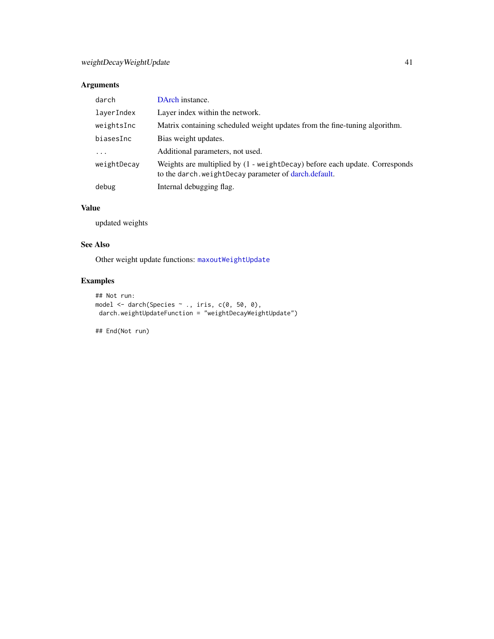## <span id="page-40-0"></span>Arguments

| darch       | DArch instance.                                                                                                                           |
|-------------|-------------------------------------------------------------------------------------------------------------------------------------------|
| layerIndex  | Layer index within the network.                                                                                                           |
| weightsInc  | Matrix containing scheduled weight updates from the fine-tuning algorithm.                                                                |
| biasesInc   | Bias weight updates.                                                                                                                      |
| $\cdots$    | Additional parameters, not used.                                                                                                          |
| weightDecay | Weights are multiplied by $(1 - weightDecay)$ before each update. Corresponds<br>to the darch, we ight Decay parameter of darch, default. |
| debug       | Internal debugging flag.                                                                                                                  |

## Value

updated weights

## See Also

Other weight update functions: [maxoutWeightUpdate](#page-24-1)

## Examples

```
## Not run:
model <- darch(Species ~ ., iris, c(0, 50, 0),
darch.weightUpdateFunction = "weightDecayWeightUpdate")
```
## End(Not run)